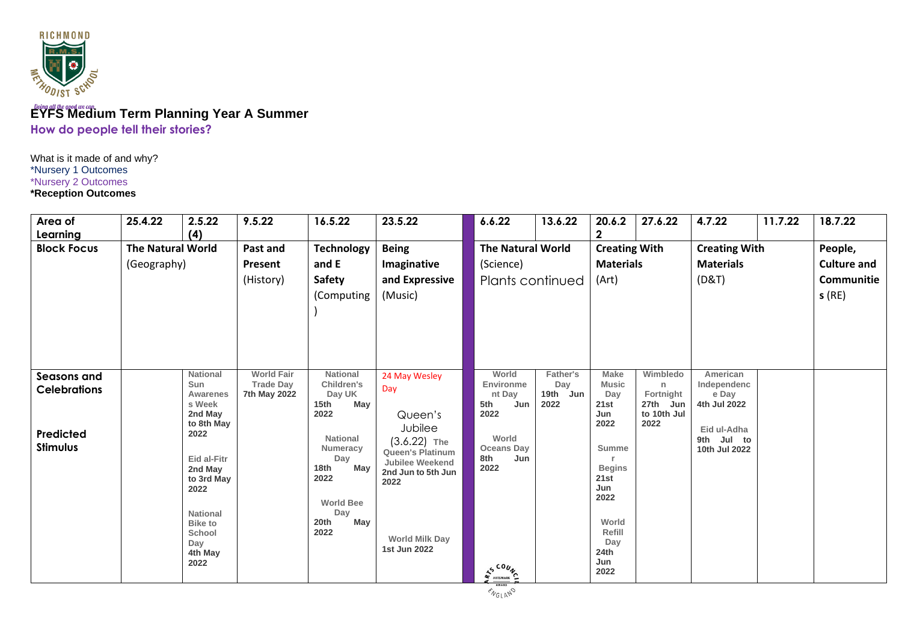

# **EYFS Medium Term Planning Year A Summer How do people tell their stories?**

What is it made of and why? \*Nursery 1 Outcomes \*Nursery 2 Outcomes **\*Reception Outcomes**

| Area of<br>Learning                                                | 25.4.22                                 | 2.5.22<br>(4)                                                                                                                                                                                          | 9.5.22                                                | 16.5.22                                                                                                                                                                                          | 23.5.22                                                                                                                                                                                  | 6.6.22                                                                                                            | 13.6.22                                    | 20.6.2<br>$\mathbf 2$                                                                                                                                       | 27.6.22                                                       | 4.7.22                                                                                         | 11.7.22 | 18.7.22                                              |
|--------------------------------------------------------------------|-----------------------------------------|--------------------------------------------------------------------------------------------------------------------------------------------------------------------------------------------------------|-------------------------------------------------------|--------------------------------------------------------------------------------------------------------------------------------------------------------------------------------------------------|------------------------------------------------------------------------------------------------------------------------------------------------------------------------------------------|-------------------------------------------------------------------------------------------------------------------|--------------------------------------------|-------------------------------------------------------------------------------------------------------------------------------------------------------------|---------------------------------------------------------------|------------------------------------------------------------------------------------------------|---------|------------------------------------------------------|
| <b>Block Focus</b>                                                 | <b>The Natural World</b><br>(Geography) |                                                                                                                                                                                                        | Past and<br>Present<br>(History)                      | <b>Technology</b><br>and E<br><b>Safety</b><br>(Computing                                                                                                                                        | <b>Being</b><br>Imaginative<br>and Expressive<br>(Music)                                                                                                                                 | The Natural World<br>(Science)                                                                                    | Plants continued                           | <b>Creating With</b><br><b>Materials</b><br>(Art)                                                                                                           |                                                               | <b>Creating With</b><br><b>Materials</b><br>(D&T)                                              |         | People,<br><b>Culture and</b><br>Communitie<br>s(RE) |
| Seasons and<br><b>Celebrations</b><br>Predicted<br><b>Stimulus</b> |                                         | <b>National</b><br>Sun<br>Awarenes<br>s Week<br>2nd May<br>to 8th May<br>2022<br>Eid al-Fitr<br>2nd May<br>to 3rd May<br>2022<br><b>National</b><br><b>Bike to</b><br>School<br>Day<br>4th May<br>2022 | <b>World Fair</b><br><b>Trade Day</b><br>7th May 2022 | <b>National</b><br><b>Children's</b><br>Day UK<br>May<br>15 <sub>th</sub><br>2022<br><b>National</b><br>Numeracy<br>Day<br>May<br>18th<br>2022<br><b>World Bee</b><br>Day<br>20th<br>May<br>2022 | 24 May Wesley<br>Day<br>Queen's<br>Jubilee<br>$(3.6.22)$ The<br><b>Queen's Platinum</b><br><b>Jubilee Weekend</b><br>2nd Jun to 5th Jun<br>2022<br><b>World Milk Day</b><br>1st Jun 2022 | World<br>Environme<br>nt Day<br>5th<br>Jun<br>2022<br>World<br><b>Oceans Day</b><br>8th<br>Jun<br>2022<br>AS COUN | <b>Father's</b><br>Day<br>19th Jun<br>2022 | <b>Make</b><br><b>Music</b><br>Day<br>21st<br>Jun<br>2022<br>Summe<br><b>Begins</b><br>21st<br>Jun<br>2022<br>World<br>Refill<br>Day<br>24th<br>Jun<br>2022 | Wimbledo<br>n<br>Fortnight<br>27th Jun<br>to 10th Jul<br>2022 | American<br>Independenc<br>e Day<br>4th Jul 2022<br>Eid ul-Adha<br>9th Jul to<br>10th Jul 2022 |         |                                                      |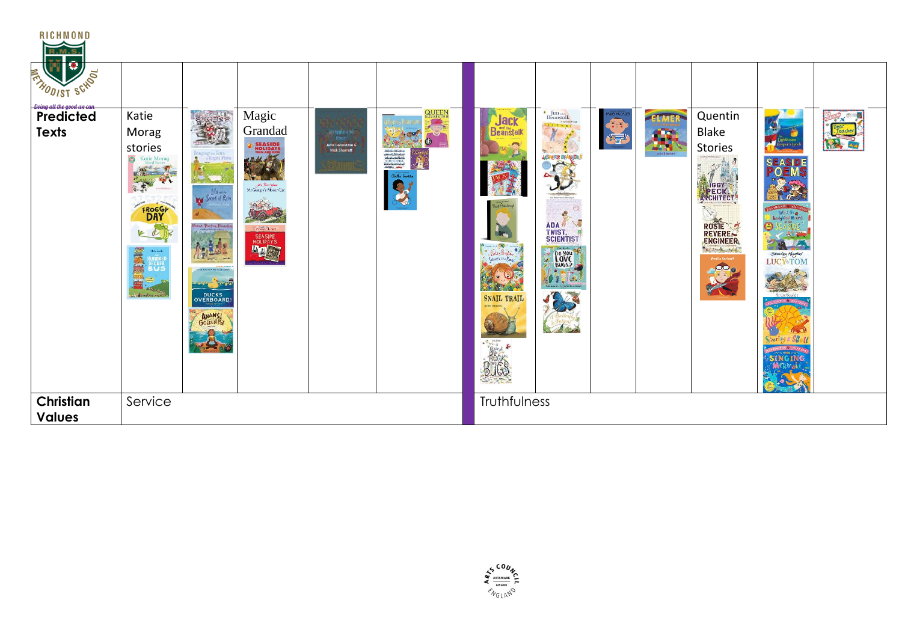| <b>RICHMOND</b><br><b>R.M.S.</b>     |                                                                                                                                                               |                                                                                                                                                     |                                                                                                                                                      |                                                              |                                                                                                                                                     |                                                                                        |                                                                                                                                                                                                |           |                            |                                                                                                                        |                                                                                                                                                                                                                                         |                                  |
|--------------------------------------|---------------------------------------------------------------------------------------------------------------------------------------------------------------|-----------------------------------------------------------------------------------------------------------------------------------------------------|------------------------------------------------------------------------------------------------------------------------------------------------------|--------------------------------------------------------------|-----------------------------------------------------------------------------------------------------------------------------------------------------|----------------------------------------------------------------------------------------|------------------------------------------------------------------------------------------------------------------------------------------------------------------------------------------------|-----------|----------------------------|------------------------------------------------------------------------------------------------------------------------|-----------------------------------------------------------------------------------------------------------------------------------------------------------------------------------------------------------------------------------------|----------------------------------|
| $\bullet$<br><b>ENTRODIST SCHOOL</b> |                                                                                                                                                               |                                                                                                                                                     |                                                                                                                                                      |                                                              |                                                                                                                                                     |                                                                                        |                                                                                                                                                                                                |           |                            |                                                                                                                        |                                                                                                                                                                                                                                         |                                  |
| Predicted<br><b>Texts</b>            | Katie<br>Morag<br>stories<br>$\odot$<br>Katie Morag<br>$\sqrt{2}$<br>FROGGE<br>KR<br>愛望<br><b>THE STAR</b><br>HUNDREI<br>DECKER<br><b>BUS</b><br>$\mathbf{E}$ | REENS<br>Bringing to Rois<br>in Kapiti Plak<br>Islamine<br>Mana Partick Possible<br>$11 - -$<br><b>TANK</b><br>DUCKS<br>OVERBOARD!<br><b>ANANSI</b> | Magic<br>Grandad<br><b>SEASIDE</b><br><b>HOLIDAYS</b><br>THEN AND NOW<br>John Barningham<br>Mr Gumpy's Motor Car<br>comechion<br>SEASIPE<br>HOLIPAYS | W ingle and<br><b>Julia Donaldson &amp;</b><br>Nick Sharratt | <b>QUEEN</b><br>$\circledcirc$<br>Annistration<br>Annistration<br>Andreal Annis<br>Annistration<br>Annis<br>Annis<br>Annis<br>Annis<br>光<br>Battles | Jack<br>deanstalk<br><b>SNAIL TRAIL</b><br><b>RUTH BROWN</b><br>tas pes<br><b>BUGS</b> | Beanstalk<br>Beanstalk<br>Example 18 T<br>Y<br>$\sum_{i=1}^{n} a_i$<br><b>JASPER'S BEAM TALK</b><br>$\frac{1}{2}$<br><b>ADA</b><br>TWIST.<br>SCIENTIST<br>Bodes<br>Foxe<br>$0$ $2.7$<br>Letter | <b>OF</b> | ELMER<br>Œ.<br>David Mckee | Quentin<br><b>Blake</b><br><b>Stories</b><br>$\circ$<br>PECK.<br>ROSIE<br>the seat of a<br>Amelia Earhart<br><b>PO</b> | $\mathbf{M}$<br>Lighthouse<br>Keeper's Jun<br><b>SEASIDE</b><br><b>POEMS</b><br>RE<br>initim typ<br>What Org<br>Ladybird Heard<br>3 M<br>Shintey Hugher<br>At the Seaside<br>giti <b>4 Ly</b> n<br>$f - 1$<br>Sharing a Shot<br>SINGING | Dear<br>Dear<br>Leacher<br>12. A |
| Christian<br><b>Values</b>           | Service                                                                                                                                                       |                                                                                                                                                     |                                                                                                                                                      |                                                              |                                                                                                                                                     | Truthfulness                                                                           |                                                                                                                                                                                                |           |                            |                                                                                                                        |                                                                                                                                                                                                                                         |                                  |

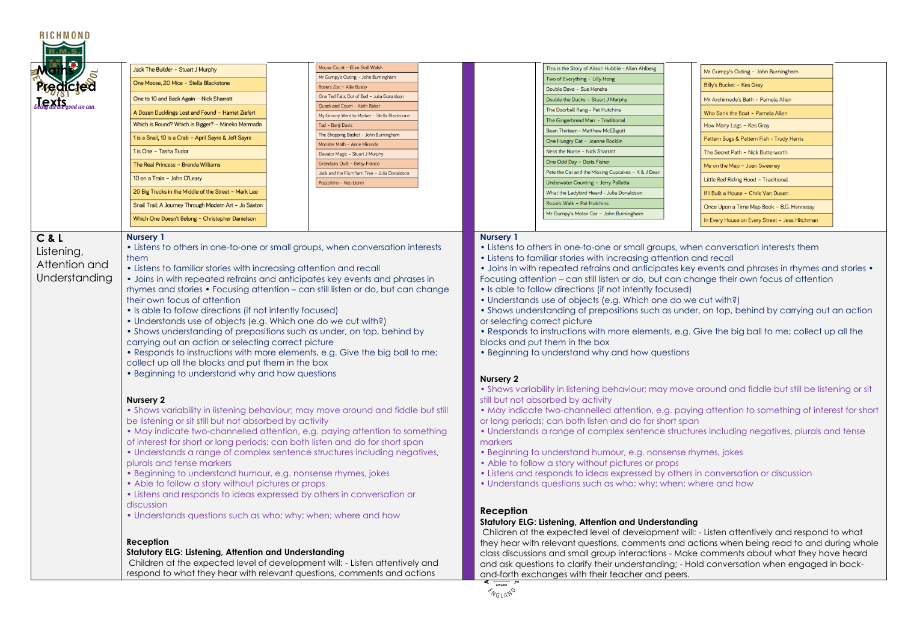| <b>RICHMOND</b>                                       |                                                                                                                                                                                                                                                                                                                                                                                                                                                                                                                                                                                                                                                                                                                                                                                                                                                                                                                                                                                                                                                                                                                                                                                                                                                                                                                                                                                                                                                                                                                                                                                                                                                                                                                                                                                                       |                                                                             |                                                                                |                                                                                                                                                                                                                                                                                                                                                                                                                                                                                                                                                                                                                                                                                                                                                                                                                                                                        |                                                                                                                                                                                                                                                                                                                                                                                                                                                                                                                                                                                                                                                                                                                                                                                                                                                                                                                                                                                                                                                                                                         |
|-------------------------------------------------------|-------------------------------------------------------------------------------------------------------------------------------------------------------------------------------------------------------------------------------------------------------------------------------------------------------------------------------------------------------------------------------------------------------------------------------------------------------------------------------------------------------------------------------------------------------------------------------------------------------------------------------------------------------------------------------------------------------------------------------------------------------------------------------------------------------------------------------------------------------------------------------------------------------------------------------------------------------------------------------------------------------------------------------------------------------------------------------------------------------------------------------------------------------------------------------------------------------------------------------------------------------------------------------------------------------------------------------------------------------------------------------------------------------------------------------------------------------------------------------------------------------------------------------------------------------------------------------------------------------------------------------------------------------------------------------------------------------------------------------------------------------------------------------------------------------|-----------------------------------------------------------------------------|--------------------------------------------------------------------------------|------------------------------------------------------------------------------------------------------------------------------------------------------------------------------------------------------------------------------------------------------------------------------------------------------------------------------------------------------------------------------------------------------------------------------------------------------------------------------------------------------------------------------------------------------------------------------------------------------------------------------------------------------------------------------------------------------------------------------------------------------------------------------------------------------------------------------------------------------------------------|---------------------------------------------------------------------------------------------------------------------------------------------------------------------------------------------------------------------------------------------------------------------------------------------------------------------------------------------------------------------------------------------------------------------------------------------------------------------------------------------------------------------------------------------------------------------------------------------------------------------------------------------------------------------------------------------------------------------------------------------------------------------------------------------------------------------------------------------------------------------------------------------------------------------------------------------------------------------------------------------------------------------------------------------------------------------------------------------------------|
|                                                       | Jack The Builder - Stuart J Murphy                                                                                                                                                                                                                                                                                                                                                                                                                                                                                                                                                                                                                                                                                                                                                                                                                                                                                                                                                                                                                                                                                                                                                                                                                                                                                                                                                                                                                                                                                                                                                                                                                                                                                                                                                                    | Mouse Count - Ellen Stoll Walsh                                             |                                                                                | This is the Story of Alison Hubble - Allan Ahlberg                                                                                                                                                                                                                                                                                                                                                                                                                                                                                                                                                                                                                                                                                                                                                                                                                     |                                                                                                                                                                                                                                                                                                                                                                                                                                                                                                                                                                                                                                                                                                                                                                                                                                                                                                                                                                                                                                                                                                         |
|                                                       |                                                                                                                                                                                                                                                                                                                                                                                                                                                                                                                                                                                                                                                                                                                                                                                                                                                                                                                                                                                                                                                                                                                                                                                                                                                                                                                                                                                                                                                                                                                                                                                                                                                                                                                                                                                                       | Mr Gumpy's Outing - John Burningham                                         |                                                                                | Two of Everything - Lilly Hong                                                                                                                                                                                                                                                                                                                                                                                                                                                                                                                                                                                                                                                                                                                                                                                                                                         | Mr Gumpy's Outing - John Burningham                                                                                                                                                                                                                                                                                                                                                                                                                                                                                                                                                                                                                                                                                                                                                                                                                                                                                                                                                                                                                                                                     |
|                                                       | One Moose, 20 Mice - Stella Blackstone                                                                                                                                                                                                                                                                                                                                                                                                                                                                                                                                                                                                                                                                                                                                                                                                                                                                                                                                                                                                                                                                                                                                                                                                                                                                                                                                                                                                                                                                                                                                                                                                                                                                                                                                                                | Rosie's Zoo - Ailie Busby                                                   |                                                                                | Double Dave - Sue Hendra                                                                                                                                                                                                                                                                                                                                                                                                                                                                                                                                                                                                                                                                                                                                                                                                                                               | Billy's Bucket - Kes Gray                                                                                                                                                                                                                                                                                                                                                                                                                                                                                                                                                                                                                                                                                                                                                                                                                                                                                                                                                                                                                                                                               |
|                                                       | One to 10 and Back Again - Nick Sharratt                                                                                                                                                                                                                                                                                                                                                                                                                                                                                                                                                                                                                                                                                                                                                                                                                                                                                                                                                                                                                                                                                                                                                                                                                                                                                                                                                                                                                                                                                                                                                                                                                                                                                                                                                              | One Ted Falls Out of Bed - Julia Donaldson<br>Ouack and Count - Keith Baker |                                                                                | Double the Ducks - Stuart J Murphy                                                                                                                                                                                                                                                                                                                                                                                                                                                                                                                                                                                                                                                                                                                                                                                                                                     | Mr Archimede's Bath - Pamela Allen                                                                                                                                                                                                                                                                                                                                                                                                                                                                                                                                                                                                                                                                                                                                                                                                                                                                                                                                                                                                                                                                      |
|                                                       | A Dozen Ducklings Lost and Found - Harriet Ziefert                                                                                                                                                                                                                                                                                                                                                                                                                                                                                                                                                                                                                                                                                                                                                                                                                                                                                                                                                                                                                                                                                                                                                                                                                                                                                                                                                                                                                                                                                                                                                                                                                                                                                                                                                    | My Granny Went to Market - Stella Blackstone                                |                                                                                | The Doorbell Rang - Pat Hutchins                                                                                                                                                                                                                                                                                                                                                                                                                                                                                                                                                                                                                                                                                                                                                                                                                                       | Who Sank the Boat - Pamela Allen                                                                                                                                                                                                                                                                                                                                                                                                                                                                                                                                                                                                                                                                                                                                                                                                                                                                                                                                                                                                                                                                        |
|                                                       | Which is Round? Which is Bigger? - Mineko Marmada<br>Tad - Benji Davis                                                                                                                                                                                                                                                                                                                                                                                                                                                                                                                                                                                                                                                                                                                                                                                                                                                                                                                                                                                                                                                                                                                                                                                                                                                                                                                                                                                                                                                                                                                                                                                                                                                                                                                                |                                                                             |                                                                                | The Gingerbread Man - Traditional<br>Bean Thirteen - Matthew McElligott                                                                                                                                                                                                                                                                                                                                                                                                                                                                                                                                                                                                                                                                                                                                                                                                | How Many Legs - Kes Gray                                                                                                                                                                                                                                                                                                                                                                                                                                                                                                                                                                                                                                                                                                                                                                                                                                                                                                                                                                                                                                                                                |
|                                                       | 1 is a Snail, 10 is a Crab - April Sayre & Jeff Sayre                                                                                                                                                                                                                                                                                                                                                                                                                                                                                                                                                                                                                                                                                                                                                                                                                                                                                                                                                                                                                                                                                                                                                                                                                                                                                                                                                                                                                                                                                                                                                                                                                                                                                                                                                 | The Shopping Basket - John Burningham<br>Monster Math - Anne Miranda        |                                                                                | One Hungry Cat - Joanne Rocklin                                                                                                                                                                                                                                                                                                                                                                                                                                                                                                                                                                                                                                                                                                                                                                                                                                        | Pattern Bugs & Pattern Fish - Trudy Harris                                                                                                                                                                                                                                                                                                                                                                                                                                                                                                                                                                                                                                                                                                                                                                                                                                                                                                                                                                                                                                                              |
|                                                       | 1 is One - Tasha Tudor                                                                                                                                                                                                                                                                                                                                                                                                                                                                                                                                                                                                                                                                                                                                                                                                                                                                                                                                                                                                                                                                                                                                                                                                                                                                                                                                                                                                                                                                                                                                                                                                                                                                                                                                                                                | Elevator Magic - Stuart J Murphy                                            |                                                                                | Ness the Nurse - Nick Sharratt                                                                                                                                                                                                                                                                                                                                                                                                                                                                                                                                                                                                                                                                                                                                                                                                                                         | The Secret Path - Nick Butterworth                                                                                                                                                                                                                                                                                                                                                                                                                                                                                                                                                                                                                                                                                                                                                                                                                                                                                                                                                                                                                                                                      |
|                                                       | The Real Princess - Brenda Williams                                                                                                                                                                                                                                                                                                                                                                                                                                                                                                                                                                                                                                                                                                                                                                                                                                                                                                                                                                                                                                                                                                                                                                                                                                                                                                                                                                                                                                                                                                                                                                                                                                                                                                                                                                   | Grandpa's Quilt - Betsy Franco                                              |                                                                                | One Odd Day - Doris Fisher                                                                                                                                                                                                                                                                                                                                                                                                                                                                                                                                                                                                                                                                                                                                                                                                                                             | Me on the Map - Joan Sweeney                                                                                                                                                                                                                                                                                                                                                                                                                                                                                                                                                                                                                                                                                                                                                                                                                                                                                                                                                                                                                                                                            |
|                                                       | 10 on a Train - John O'Leary                                                                                                                                                                                                                                                                                                                                                                                                                                                                                                                                                                                                                                                                                                                                                                                                                                                                                                                                                                                                                                                                                                                                                                                                                                                                                                                                                                                                                                                                                                                                                                                                                                                                                                                                                                          | Jack and the Flumflum Tree - Julia Donaldson                                |                                                                                | Pete the Cat and the Missing Cupcakes - K & J Dean                                                                                                                                                                                                                                                                                                                                                                                                                                                                                                                                                                                                                                                                                                                                                                                                                     | Little Red Riding Hood - Traditional                                                                                                                                                                                                                                                                                                                                                                                                                                                                                                                                                                                                                                                                                                                                                                                                                                                                                                                                                                                                                                                                    |
|                                                       | 20 Big Trucks in the Middle of the Street - Mark Lee                                                                                                                                                                                                                                                                                                                                                                                                                                                                                                                                                                                                                                                                                                                                                                                                                                                                                                                                                                                                                                                                                                                                                                                                                                                                                                                                                                                                                                                                                                                                                                                                                                                                                                                                                  | Pezzettino - Neo Lionni                                                     |                                                                                | Underwater Counting - Jerry Pallotta<br>What the Ladybird Heard - Julia Donaldson                                                                                                                                                                                                                                                                                                                                                                                                                                                                                                                                                                                                                                                                                                                                                                                      | If I Built a House - Chris Van Dusen                                                                                                                                                                                                                                                                                                                                                                                                                                                                                                                                                                                                                                                                                                                                                                                                                                                                                                                                                                                                                                                                    |
|                                                       | Snail Trail: A Journey Through Modern Art - Jo Saxton                                                                                                                                                                                                                                                                                                                                                                                                                                                                                                                                                                                                                                                                                                                                                                                                                                                                                                                                                                                                                                                                                                                                                                                                                                                                                                                                                                                                                                                                                                                                                                                                                                                                                                                                                 |                                                                             |                                                                                | Rosie's Walk - Pat Hutchins                                                                                                                                                                                                                                                                                                                                                                                                                                                                                                                                                                                                                                                                                                                                                                                                                                            |                                                                                                                                                                                                                                                                                                                                                                                                                                                                                                                                                                                                                                                                                                                                                                                                                                                                                                                                                                                                                                                                                                         |
|                                                       | Which One Doesn't Belong - Christopher Danielson                                                                                                                                                                                                                                                                                                                                                                                                                                                                                                                                                                                                                                                                                                                                                                                                                                                                                                                                                                                                                                                                                                                                                                                                                                                                                                                                                                                                                                                                                                                                                                                                                                                                                                                                                      |                                                                             |                                                                                | Mr Gumpy's Motor Car - John Burningham                                                                                                                                                                                                                                                                                                                                                                                                                                                                                                                                                                                                                                                                                                                                                                                                                                 | Once Upon a Time Map Book - B.G. Hennessy                                                                                                                                                                                                                                                                                                                                                                                                                                                                                                                                                                                                                                                                                                                                                                                                                                                                                                                                                                                                                                                               |
|                                                       |                                                                                                                                                                                                                                                                                                                                                                                                                                                                                                                                                                                                                                                                                                                                                                                                                                                                                                                                                                                                                                                                                                                                                                                                                                                                                                                                                                                                                                                                                                                                                                                                                                                                                                                                                                                                       |                                                                             |                                                                                |                                                                                                                                                                                                                                                                                                                                                                                                                                                                                                                                                                                                                                                                                                                                                                                                                                                                        | In Every House on Every Street - Jess Hitchman                                                                                                                                                                                                                                                                                                                                                                                                                                                                                                                                                                                                                                                                                                                                                                                                                                                                                                                                                                                                                                                          |
| C & L<br>Listening,<br>Attention and<br>Understanding | <b>Nursery 1</b><br>• Listens to others in one-to-one or small groups, when conversation interests<br>them<br>• Listens to familiar stories with increasing attention and recall<br>• Joins in with repeated refrains and anticipates key events and phrases in<br>rhymes and stories • Focusing attention - can still listen or do, but can change<br>their own focus of attention<br>• Is able to follow directions (if not intently focused)<br>• Understands use of objects (e.g. Which one do we cut with?)<br>• Shows understanding of prepositions such as under, on top, behind by<br>carrying out an action or selecting correct picture<br>• Responds to instructions with more elements, e.g. Give the big ball to me;<br>collect up all the blocks and put them in the box<br>• Beginning to understand why and how questions<br>Nursery 2<br>• Shows variability in listening behaviour; may move around and fiddle but still<br>be listening or sit still but not absorbed by activity<br>• May indicate two-channelled attention, e.g. paying attention to something<br>of interest for short or long periods; can both listen and do for short span<br>• Understands a range of complex sentence structures including negatives,<br>plurals and tense markers<br>• Beginning to understand humour, e.g. nonsense rhymes, jokes<br>• Able to follow a story without pictures or props<br>• Listens and responds to ideas expressed by others in conversation or<br>discussion<br>• Understands questions such as who; why; when; where and how<br>Reception<br><b>Statutory ELG: Listening, Attention and Understanding</b><br>Children at the expected level of development will: - Listen attentively and<br>respond to what they hear with relevant questions, comments and actions |                                                                             | Nursery 1<br>or selecting correct picture<br>Nursery 2<br>markers<br>Reception | • Listens to others in one-to-one or small groups, when conversation interests them<br>• Listens to familiar stories with increasing attention and recall<br>• Is able to follow directions (if not intently focused)<br>· Understands use of objects (e.g. Which one do we cut with?)<br>blocks and put them in the box<br>• Beginning to understand why and how questions<br>still but not absorbed by activity<br>or long periods; can both listen and do for short span<br>• Beginning to understand humour, e.g. nonsense rhymes, jokes<br>• Able to follow a story without pictures or props<br>• Listens and responds to ideas expressed by others in conversation or discussion<br>• Understands questions such as who; why; when; where and how<br>Statutory ELG: Listening, Attention and Understanding<br>and-forth exchanges with their teacher and peers. | • Joins in with repeated refrains and anticipates key events and phrases in rhymes and stories •<br>Focusing attention - can still listen or do, but can change their own focus of attention<br>• Shows understanding of prepositions such as under, on top, behind by carrying out an action<br>. Responds to instructions with more elements, e.g. Give the big ball to me; collect up all the<br>• Shows variability in listening behaviour; may move around and fiddle but still be listening or sit<br>• May indicate two-channelled attention, e.g. paying attention to something of interest for short<br>• Understands a range of complex sentence structures including negatives, plurals and tense<br>Children at the expected level of development will: - Listen attentively and respond to what<br>they hear with relevant questions, comments and actions when being read to and during whole<br>class discussions and small group interactions - Make comments about what they have heard<br>and ask questions to clarify their understanding; - Hold conversation when engaged in back- |
|                                                       |                                                                                                                                                                                                                                                                                                                                                                                                                                                                                                                                                                                                                                                                                                                                                                                                                                                                                                                                                                                                                                                                                                                                                                                                                                                                                                                                                                                                                                                                                                                                                                                                                                                                                                                                                                                                       |                                                                             | AWARD<br><b>ENGLAND</b>                                                        |                                                                                                                                                                                                                                                                                                                                                                                                                                                                                                                                                                                                                                                                                                                                                                                                                                                                        |                                                                                                                                                                                                                                                                                                                                                                                                                                                                                                                                                                                                                                                                                                                                                                                                                                                                                                                                                                                                                                                                                                         |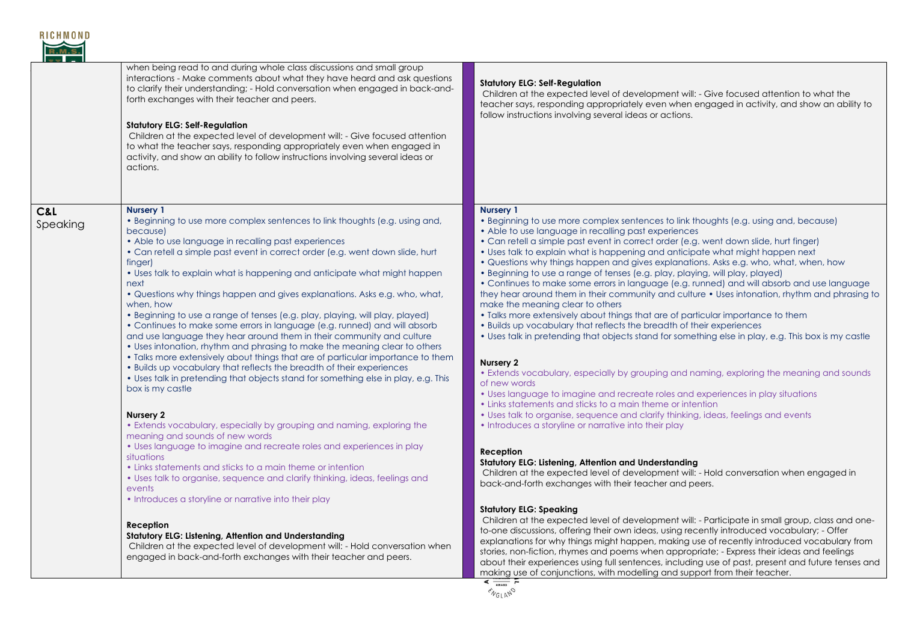

|                                    | when being read to and during whole class discussions and small group<br>interactions - Make comments about what they have heard and ask questions<br>to clarify their understanding; - Hold conversation when engaged in back-and-<br>forth exchanges with their teacher and peers.<br><b>Statutory ELG: Self-Regulation</b><br>Children at the expected level of development will: - Give focused attention<br>to what the teacher says, responding appropriately even when engaged in<br>activity, and show an ability to follow instructions involving several ideas or<br>actions.                                                                                                                                                                                                                                                                                                                                                                                                                                                                                                                                                                                                                                               | <b>Statutory ELG: Self-Regulation</b><br>Children at the expected level of development will: - Give focused attention to what the<br>teacher says, responding appropriately even when engaged in activity, and show an ability to<br>follow instructions involving several ideas or actions.                                                                                                                                                                                                                                                                                                                                                                                                                                                                                                                                                                                                                                                                                                                                                                                                                                                                                                                                                                                                                                                                                                                                                          |
|------------------------------------|---------------------------------------------------------------------------------------------------------------------------------------------------------------------------------------------------------------------------------------------------------------------------------------------------------------------------------------------------------------------------------------------------------------------------------------------------------------------------------------------------------------------------------------------------------------------------------------------------------------------------------------------------------------------------------------------------------------------------------------------------------------------------------------------------------------------------------------------------------------------------------------------------------------------------------------------------------------------------------------------------------------------------------------------------------------------------------------------------------------------------------------------------------------------------------------------------------------------------------------|-------------------------------------------------------------------------------------------------------------------------------------------------------------------------------------------------------------------------------------------------------------------------------------------------------------------------------------------------------------------------------------------------------------------------------------------------------------------------------------------------------------------------------------------------------------------------------------------------------------------------------------------------------------------------------------------------------------------------------------------------------------------------------------------------------------------------------------------------------------------------------------------------------------------------------------------------------------------------------------------------------------------------------------------------------------------------------------------------------------------------------------------------------------------------------------------------------------------------------------------------------------------------------------------------------------------------------------------------------------------------------------------------------------------------------------------------------|
| <b>C&amp;L</b><br>$\delta$ peaking | Nursery 1<br>. Beginning to use more complex sentences to link thoughts (e.g. using and,<br>because)<br>• Able to use language in recalling past experiences<br>• Can retell a simple past event in correct order (e.g. went down slide, hurt<br>finger)<br>• Uses talk to explain what is happening and anticipate what might happen<br>next<br>• Questions why things happen and gives explanations. Asks e.g. who, what,<br>when, how<br>• Beginning to use a range of tenses (e.g. play, playing, will play, played)<br>• Continues to make some errors in language (e.g. runned) and will absorb<br>and use language they hear around them in their community and culture<br>• Uses intonation, rhythm and phrasing to make the meaning clear to others<br>. Talks more extensively about things that are of particular importance to them<br>. Builds up vocabulary that reflects the breadth of their experiences<br>• Uses talk in pretending that objects stand for something else in play, e.g. This<br>box is my castle<br>Nursery 2<br>• Extends vocabulary, especially by grouping and naming, exploring the<br>meaning and sounds of new words<br>• Uses language to imagine and recreate roles and experiences in play | <b>Nursery 1</b><br>• Beginning to use more complex sentences to link thoughts (e.g. using and, because)<br>• Able to use language in recalling past experiences<br>• Can retell a simple past event in correct order (e.g. went down slide, hurt finger)<br>• Uses talk to explain what is happening and anticipate what might happen next<br>. Questions why things happen and gives explanations. Asks e.g. who, what, when, how<br>· Beginning to use a range of tenses (e.g. play, playing, will play, played)<br>• Continues to make some errors in language (e.g. runned) and will absorb and use language<br>they hear around them in their community and culture • Uses intonation, rhythm and phrasing to<br>make the meaning clear to others<br>. Talks more extensively about things that are of particular importance to them<br>• Builds up vocabulary that reflects the breadth of their experiences<br>• Uses talk in pretending that objects stand for something else in play, e.g. This box is my castle<br>Nursery 2<br>• Extends vocabulary, especially by grouping and naming, exploring the meaning and sounds<br>of new words<br>• Uses language to imagine and recreate roles and experiences in play situations<br>• Links statements and sticks to a main theme or intention<br>• Uses talk to organise, sequence and clarify thinking, ideas, feelings and events<br>• Introduces a storyline or narrative into their play |
|                                    | situations<br>• Links statements and sticks to a main theme or intention<br>• Uses talk to organise, sequence and clarify thinking, ideas, feelings and<br>events<br>• Introduces a storyline or narrative into their play                                                                                                                                                                                                                                                                                                                                                                                                                                                                                                                                                                                                                                                                                                                                                                                                                                                                                                                                                                                                            | Reception<br>Statutory ELG: Listening, Attention and Understanding<br>Children at the expected level of development will: - Hold conversation when engaged in<br>back-and-forth exchanges with their teacher and peers.                                                                                                                                                                                                                                                                                                                                                                                                                                                                                                                                                                                                                                                                                                                                                                                                                                                                                                                                                                                                                                                                                                                                                                                                                               |
|                                    | Reception<br>Statutory ELG: Listening, Attention and Understanding<br>Children at the expected level of development will: - Hold conversation when<br>engaged in back-and-forth exchanges with their teacher and peers.                                                                                                                                                                                                                                                                                                                                                                                                                                                                                                                                                                                                                                                                                                                                                                                                                                                                                                                                                                                                               | <b>Statutory ELG: Speaking</b><br>Children at the expected level of development will: - Participate in small group, class and one-<br>to-one discussions, offering their own ideas, using recently introduced vocabulary; - Offer<br>explanations for why things might happen, making use of recently introduced vocabulary from<br>stories, non-fiction, rhymes and poems when appropriate; - Express their ideas and feelings<br>about their experiences using full sentences, including use of past, present and future tenses and<br>making use of conjunctions, with modelling and support from their teacher                                                                                                                                                                                                                                                                                                                                                                                                                                                                                                                                                                                                                                                                                                                                                                                                                                    |

 $\frac{4 \frac{1}{\sqrt{N_{ABD}}} \times \sqrt{N_{ABD}}}{\sqrt{N_{B}} \times \sqrt{N_{B}} \times N_{C}}$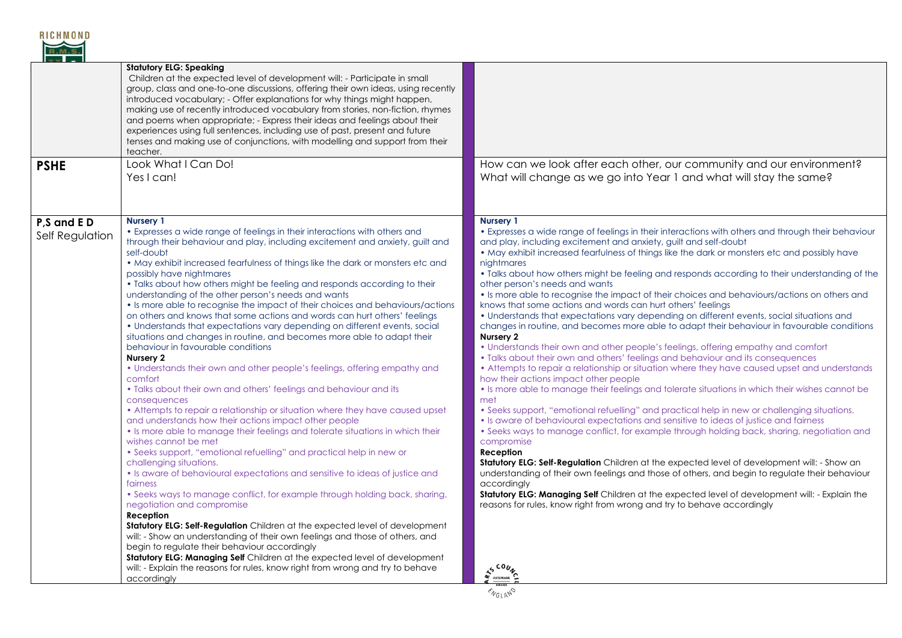

| <b>PSHE</b>                   | <b>Statutory ELG: Speaking</b><br>Children at the expected level of development will: - Participate in small<br>group, class and one-to-one discussions, offering their own ideas, using recently<br>introduced vocabulary; - Offer explanations for why things might happen,<br>making use of recently introduced vocabulary from stories, non-fiction, rhymes<br>and poems when appropriate; - Express their ideas and feelings about their<br>experiences using full sentences, including use of past, present and future<br>tenses and making use of conjunctions, with modelling and support from their<br>teacher.<br>Look What I Can Do!<br>Yes I can!                                                                                                                                                                                                                                                                                                                                                                                                                                                                                                                                                                                                                                                                                                                                                                                                                                                                                                                                                                                                                                                                                                                                                                                                                                                                                                                          | How can we look after each other, our community and our environment?<br>What will change as we go into Year 1 and what will stay the same?                                                                                                                                                                                                                                                                                                                                                                                                                                                                                                                                                                                                                                                                                                                                                                                                                                                                                                                                                                                                                                                                                                                                                                                                                                                                                                                                                                                                                                                                                                                                                                                                                                                                                                                                                                                                                                                  |
|-------------------------------|----------------------------------------------------------------------------------------------------------------------------------------------------------------------------------------------------------------------------------------------------------------------------------------------------------------------------------------------------------------------------------------------------------------------------------------------------------------------------------------------------------------------------------------------------------------------------------------------------------------------------------------------------------------------------------------------------------------------------------------------------------------------------------------------------------------------------------------------------------------------------------------------------------------------------------------------------------------------------------------------------------------------------------------------------------------------------------------------------------------------------------------------------------------------------------------------------------------------------------------------------------------------------------------------------------------------------------------------------------------------------------------------------------------------------------------------------------------------------------------------------------------------------------------------------------------------------------------------------------------------------------------------------------------------------------------------------------------------------------------------------------------------------------------------------------------------------------------------------------------------------------------------------------------------------------------------------------------------------------------|---------------------------------------------------------------------------------------------------------------------------------------------------------------------------------------------------------------------------------------------------------------------------------------------------------------------------------------------------------------------------------------------------------------------------------------------------------------------------------------------------------------------------------------------------------------------------------------------------------------------------------------------------------------------------------------------------------------------------------------------------------------------------------------------------------------------------------------------------------------------------------------------------------------------------------------------------------------------------------------------------------------------------------------------------------------------------------------------------------------------------------------------------------------------------------------------------------------------------------------------------------------------------------------------------------------------------------------------------------------------------------------------------------------------------------------------------------------------------------------------------------------------------------------------------------------------------------------------------------------------------------------------------------------------------------------------------------------------------------------------------------------------------------------------------------------------------------------------------------------------------------------------------------------------------------------------------------------------------------------------|
| P,S and ED<br>Self Regulation | <b>Nursery 1</b><br>• Expresses a wide range of feelings in their interactions with others and<br>through their behaviour and play, including excitement and anxiety, guilt and<br>self-doubt<br>• May exhibit increased fearfulness of things like the dark or monsters etc and<br>possibly have nightmares<br>• Talks about how others might be feeling and responds according to their<br>understanding of the other person's needs and wants<br>• Is more able to recognise the impact of their choices and behaviours/actions<br>on others and knows that some actions and words can hurt others' feelings<br>• Understands that expectations vary depending on different events, social<br>situations and changes in routine, and becomes more able to adapt their<br>behaviour in favourable conditions<br>Nursery 2<br>• Understands their own and other people's feelings, offering empathy and<br>comfort<br>• Talks about their own and others' feelings and behaviour and its<br>consequences<br>• Attempts to repair a relationship or situation where they have caused upset<br>and understands how their actions impact other people<br>• Is more able to manage their feelings and tolerate situations in which their<br>wishes cannot be met<br>• Seeks support, "emotional refuelling" and practical help in new or<br>challenging situations.<br>• Is aware of behavioural expectations and sensitive to ideas of justice and<br>fairness<br>• Seeks ways to manage conflict, for example through holding back, sharing,<br>negotiation and compromise<br>Reception<br>Statutory ELG: Self-Regulation Children at the expected level of development<br>will: - Show an understanding of their own feelings and those of others, and<br>begin to regulate their behaviour accordingly<br>Statutory ELG: Managing Self Children at the expected level of development<br>will: - Explain the reasons for rules, know right from wrong and try to behave<br>accordingly | <b>Nursery 1</b><br>• Expresses a wide range of feelings in their interactions with others and through their behaviour<br>and play, including excitement and anxiety, guilt and self-doubt<br>• May exhibit increased fearfulness of things like the dark or monsters etc and possibly have<br>nightmares<br>• Talks about how others might be feeling and responds according to their understanding of the<br>other person's needs and wants<br>• Is more able to recognise the impact of their choices and behaviours/actions on others and<br>knows that some actions and words can hurt others' feelings<br>• Understands that expectations vary depending on different events, social situations and<br>changes in routine, and becomes more able to adapt their behaviour in favourable conditions<br>Nursery 2<br>• Understands their own and other people's feelings, offering empathy and comfort<br>• Talks about their own and others' feelings and behaviour and its consequences<br>• Attempts to repair a relationship or situation where they have caused upset and understands<br>how their actions impact other people<br>• Is more able to manage their feelings and tolerate situations in which their wishes cannot be<br>met<br>• Seeks support, "emotional refuelling" and practical help in new or challenging situations.<br>• Is aware of behavioural expectations and sensitive to ideas of justice and fairness<br>• Seeks ways to manage conflict, for example through holding back, sharing, negotiation and<br>compromise<br>Reception<br>Statutory ELG: Self-Regulation Children at the expected level of development will: - Show an<br>understanding of their own feelings and those of others, and begin to regulate their behaviour<br>accordingly<br><b>Statutory ELG: Managing Self</b> Children at the expected level of development will: - Explain the<br>reasons for rules, know right from wrong and try to behave accordingly<br><b>ARTSMARK</b> |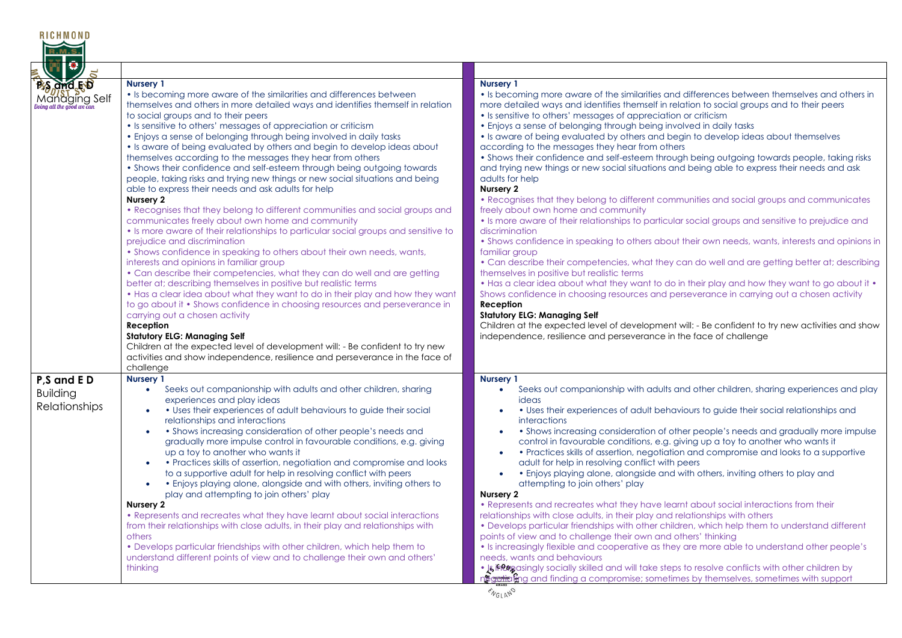| R I C H M O N D                                                          |                                                                                                                                                                                                                                                                                                                                                                                                                                                                                                                                                                                                                                                                                                                                                                                                                                                                                                                                                                                                                                                                                                                                                                                                                                                                                                                                                                                                                                                                                                                                                                                                                                                                                                                    |                                                                                                                                                                                                                                                                                                                                                                                                                                                                                                                                                                                                                                                                                                                                                                                                                                                                                                                                                                                                                                                                                                                                                                                                                                                                                                                                                                                                                                                                                                                                                                                                                                                                                                    |
|--------------------------------------------------------------------------|--------------------------------------------------------------------------------------------------------------------------------------------------------------------------------------------------------------------------------------------------------------------------------------------------------------------------------------------------------------------------------------------------------------------------------------------------------------------------------------------------------------------------------------------------------------------------------------------------------------------------------------------------------------------------------------------------------------------------------------------------------------------------------------------------------------------------------------------------------------------------------------------------------------------------------------------------------------------------------------------------------------------------------------------------------------------------------------------------------------------------------------------------------------------------------------------------------------------------------------------------------------------------------------------------------------------------------------------------------------------------------------------------------------------------------------------------------------------------------------------------------------------------------------------------------------------------------------------------------------------------------------------------------------------------------------------------------------------|----------------------------------------------------------------------------------------------------------------------------------------------------------------------------------------------------------------------------------------------------------------------------------------------------------------------------------------------------------------------------------------------------------------------------------------------------------------------------------------------------------------------------------------------------------------------------------------------------------------------------------------------------------------------------------------------------------------------------------------------------------------------------------------------------------------------------------------------------------------------------------------------------------------------------------------------------------------------------------------------------------------------------------------------------------------------------------------------------------------------------------------------------------------------------------------------------------------------------------------------------------------------------------------------------------------------------------------------------------------------------------------------------------------------------------------------------------------------------------------------------------------------------------------------------------------------------------------------------------------------------------------------------------------------------------------------------|
|                                                                          |                                                                                                                                                                                                                                                                                                                                                                                                                                                                                                                                                                                                                                                                                                                                                                                                                                                                                                                                                                                                                                                                                                                                                                                                                                                                                                                                                                                                                                                                                                                                                                                                                                                                                                                    |                                                                                                                                                                                                                                                                                                                                                                                                                                                                                                                                                                                                                                                                                                                                                                                                                                                                                                                                                                                                                                                                                                                                                                                                                                                                                                                                                                                                                                                                                                                                                                                                                                                                                                    |
| $\overline{\mathcal{O}}$<br><b>P<sub>S</sub> and ED</b><br>Managing Self | <b>Nursery 1</b><br>• Is becoming more aware of the similarities and differences between<br>themselves and others in more detailed ways and identifies themself in relation<br>to social groups and to their peers<br>• Is sensitive to others' messages of appreciation or criticism<br>• Enjoys a sense of belonging through being involved in daily tasks<br>• Is aware of being evaluated by others and begin to develop ideas about<br>themselves according to the messages they hear from others<br>• Shows their confidence and self-esteem through being outgoing towards<br>people, taking risks and trying new things or new social situations and being<br>able to express their needs and ask adults for help<br>Nursery 2<br>• Recognises that they belong to different communities and social groups and<br>communicates freely about own home and community<br>• Is more aware of their relationships to particular social groups and sensitive to<br>prejudice and discrimination<br>• Shows confidence in speaking to others about their own needs, wants,<br>interests and opinions in familiar group<br>• Can describe their competencies, what they can do well and are getting<br>better at; describing themselves in positive but realistic terms<br>• Has a clear idea about what they want to do in their play and how they want<br>to go about it • Shows confidence in choosing resources and perseverance in<br>carrying out a chosen activity<br><b>Reception</b><br><b>Statutory ELG: Managing Self</b><br>Children at the expected level of development will: - Be confident to try new<br>activities and show independence, resilience and perseverance in the face of<br>challenge | <b>Nursery 1</b><br>• Is becoming more aware of the similarities and differences between themselves and others in<br>more detailed ways and identifies themself in relation to social groups and to their peers<br>• Is sensitive to others' messages of appreciation or criticism<br>• Enjoys a sense of belonging through being involved in daily tasks<br>• Is aware of being evaluated by others and begin to develop ideas about themselves<br>according to the messages they hear from others<br>• Shows their confidence and self-esteem through being outgoing towards people, taking risks<br>and trying new things or new social situations and being able to express their needs and ask<br>adults for help<br>Nursery 2<br>• Recognises that they belong to different communities and social groups and communicates<br>freely about own home and community<br>. Is more aware of their relationships to particular social groups and sensitive to prejudice and<br>discrimination<br>• Shows confidence in speaking to others about their own needs, wants, interests and opinions in<br>familiar group<br>• Can describe their competencies, what they can do well and are getting better at; describing<br>themselves in positive but realistic terms<br>• Has a clear idea about what they want to do in their play and how they want to go about it •<br>Shows confidence in choosing resources and perseverance in carrying out a chosen activity<br>Reception<br><b>Statutory ELG: Managing Self</b><br>Children at the expected level of development will: - Be confident to try new activities and show<br>independence, resilience and perseverance in the face of challenge |
| P <sub>,</sub> S and ED<br><b>Building</b><br>Relationships              | Nursery 1<br>Seeks out companionship with adults and other children, sharing<br>$\bullet$<br>experiences and play ideas<br>• Uses their experiences of adult behaviours to guide their social<br>$\bullet$<br>relationships and interactions<br>• Shows increasing consideration of other people's needs and<br>gradually more impulse control in favourable conditions, e.g. giving<br>up a toy to another who wants it<br>• Practices skills of assertion, negotiation and compromise and looks<br>to a supportive adult for help in resolving conflict with peers<br>• Enjoys playing alone, alongside and with others, inviting others to<br>$\bullet$<br>play and attempting to join others' play<br>Nursery 2<br>• Represents and recreates what they have learnt about social interactions<br>from their relationships with close adults, in their play and relationships with<br>others<br>• Develops particular friendships with other children, which help them to<br>understand different points of view and to challenge their own and others'<br>thinking                                                                                                                                                                                                                                                                                                                                                                                                                                                                                                                                                                                                                                             | <b>Nursery 1</b><br>Seeks out companionship with adults and other children, sharing experiences and play<br>$\bullet$<br>ideas<br>• Uses their experiences of adult behaviours to guide their social relationships and<br>$\bullet$<br><i>interactions</i><br>• Shows increasing consideration of other people's needs and gradually more impulse<br>control in favourable conditions, e.g. giving up a toy to another who wants it<br>• Practices skills of assertion, negotiation and compromise and looks to a supportive<br>$\bullet$<br>adult for help in resolving conflict with peers<br>. Enjoys playing alone, alongside and with others, inviting others to play and<br>attempting to join others' play<br>Nursery 2<br>• Represents and recreates what they have learnt about social interactions from their<br>relationships with close adults, in their play and relationships with others<br>• Develops particular friendships with other children, which help them to understand different<br>points of view and to challenge their own and others' thinking<br>• Is increasingly flexible and cooperative as they are more able to understand other people's<br>needs, wants and behaviours<br>• Is incugasingly socially skilled and will take steps to resolve conflicts with other children by<br>negrating and finding a compromise; sometimes by themselves, sometimes with support                                                                                                                                                                                                                                                                                           |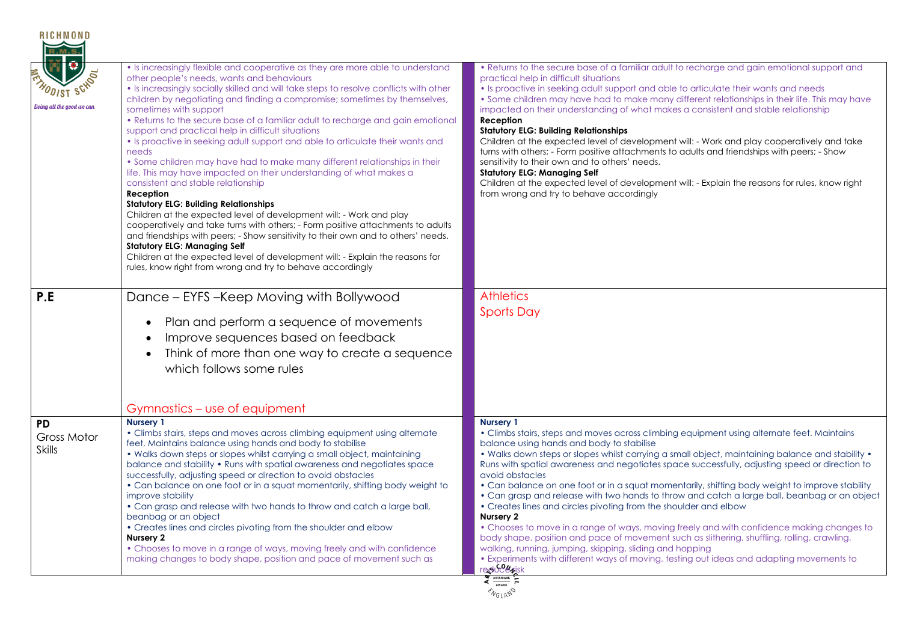| <b>RICHMOND</b>                           |                                                                                                                                                                                                                                                                                                                                                                                                                                                                                                                                                                                                                                                                                                                                                                                                                                                                                                                                                                                                                                                                                                                                                                                                                                                                 |                                                                                                                                                                                                                                                                                                                                                                                                                                                                                                                                                                                                                                                                                                                                                                                                                                                                                                                                                                                                                                                   |
|-------------------------------------------|-----------------------------------------------------------------------------------------------------------------------------------------------------------------------------------------------------------------------------------------------------------------------------------------------------------------------------------------------------------------------------------------------------------------------------------------------------------------------------------------------------------------------------------------------------------------------------------------------------------------------------------------------------------------------------------------------------------------------------------------------------------------------------------------------------------------------------------------------------------------------------------------------------------------------------------------------------------------------------------------------------------------------------------------------------------------------------------------------------------------------------------------------------------------------------------------------------------------------------------------------------------------|---------------------------------------------------------------------------------------------------------------------------------------------------------------------------------------------------------------------------------------------------------------------------------------------------------------------------------------------------------------------------------------------------------------------------------------------------------------------------------------------------------------------------------------------------------------------------------------------------------------------------------------------------------------------------------------------------------------------------------------------------------------------------------------------------------------------------------------------------------------------------------------------------------------------------------------------------------------------------------------------------------------------------------------------------|
| Doing all the good we can                 | • Is increasingly flexible and cooperative as they are more able to understand<br>other people's needs, wants and behaviours<br>• Is increasingly socially skilled and will take steps to resolve conflicts with other<br>children by negotiating and finding a compromise; sometimes by themselves,<br>sometimes with support<br>• Returns to the secure base of a familiar adult to recharge and gain emotional<br>support and practical help in difficult situations<br>• Is proactive in seeking adult support and able to articulate their wants and<br>needs<br>• Some children may have had to make many different relationships in their<br>life. This may have impacted on their understanding of what makes a<br>consistent and stable relationship<br>Reception<br><b>Statutory ELG: Building Relationships</b><br>Children at the expected level of development will: - Work and play<br>cooperatively and take turns with others; - Form positive attachments to adults<br>and friendships with peers; - Show sensitivity to their own and to others' needs.<br><b>Statutory ELG: Managing Self</b><br>Children at the expected level of development will: - Explain the reasons for<br>rules, know right from wrong and try to behave accordingly | • Returns to the secure base of a familiar adult to recharge and gain emotional support and<br>practical help in difficult situations<br>• Is proactive in seeking adult support and able to articulate their wants and needs<br>• Some children may have had to make many different relationships in their life. This may have<br>impacted on their understanding of what makes a consistent and stable relationship<br>Reception<br><b>Statutory ELG: Building Relationships</b><br>Children at the expected level of development will: - Work and play cooperatively and take<br>turns with others; - Form positive attachments to adults and friendships with peers; - Show<br>sensitivity to their own and to others' needs.<br><b>Statutory ELG: Managing Self</b><br>Children at the expected level of development will: - Explain the reasons for rules, know right<br>from wrong and try to behave accordingly                                                                                                                           |
| P.E                                       | Dance - EYFS - Keep Moving with Bollywood<br>Plan and perform a sequence of movements<br>$\bullet$<br>Improve sequences based on feedback<br>$\bullet$<br>Think of more than one way to create a sequence<br>$\bullet$<br>which follows some rules                                                                                                                                                                                                                                                                                                                                                                                                                                                                                                                                                                                                                                                                                                                                                                                                                                                                                                                                                                                                              | <b>Athletics</b><br><b>Sports Day</b>                                                                                                                                                                                                                                                                                                                                                                                                                                                                                                                                                                                                                                                                                                                                                                                                                                                                                                                                                                                                             |
|                                           | Gymnastics – use of equipment                                                                                                                                                                                                                                                                                                                                                                                                                                                                                                                                                                                                                                                                                                                                                                                                                                                                                                                                                                                                                                                                                                                                                                                                                                   |                                                                                                                                                                                                                                                                                                                                                                                                                                                                                                                                                                                                                                                                                                                                                                                                                                                                                                                                                                                                                                                   |
| <b>PD</b><br>Gross Motor<br><b>Skills</b> | <b>Nursery 1</b><br>• Climbs stairs, steps and moves across climbing equipment using alternate<br>feet. Maintains balance using hands and body to stabilise<br>• Walks down steps or slopes whilst carrying a small object, maintaining<br>balance and stability • Runs with spatial awareness and negotiates space<br>successfully, adjusting speed or direction to avoid obstacles<br>• Can balance on one foot or in a squat momentarily, shifting body weight to<br>improve stability<br>. Can grasp and release with two hands to throw and catch a large ball,<br>beanbag or an object<br>• Creates lines and circles pivoting from the shoulder and elbow<br>Nursery 2<br>• Chooses to move in a range of ways, moving freely and with confidence<br>making changes to body shape, position and pace of movement such as                                                                                                                                                                                                                                                                                                                                                                                                                                 | <b>Nursery 1</b><br>• Climbs stairs, steps and moves across climbing equipment using alternate feet. Maintains<br>balance using hands and body to stabilise<br>• Walks down steps or slopes whilst carrying a small object, maintaining balance and stability •<br>Runs with spatial awareness and negotiates space successfully, adjusting speed or direction to<br>avoid obstacles<br>• Can balance on one foot or in a squat momentarily, shifting body weight to improve stability<br>• Can grasp and release with two hands to throw and catch a large ball, beanbag or an object<br>• Creates lines and circles pivoting from the shoulder and elbow<br>Nursery 2<br>• Chooses to move in a range of ways, moving freely and with confidence making changes to<br>body shape, position and pace of movement such as slithering, shuffling, rolling, crawling,<br>walking, running, jumping, skipping, sliding and hopping<br>• Experiments with different ways of moving, testing out ideas and adapting movements to<br><b>TECHOCENISK</b> |
|                                           |                                                                                                                                                                                                                                                                                                                                                                                                                                                                                                                                                                                                                                                                                                                                                                                                                                                                                                                                                                                                                                                                                                                                                                                                                                                                 | <b>ENGLAND</b>                                                                                                                                                                                                                                                                                                                                                                                                                                                                                                                                                                                                                                                                                                                                                                                                                                                                                                                                                                                                                                    |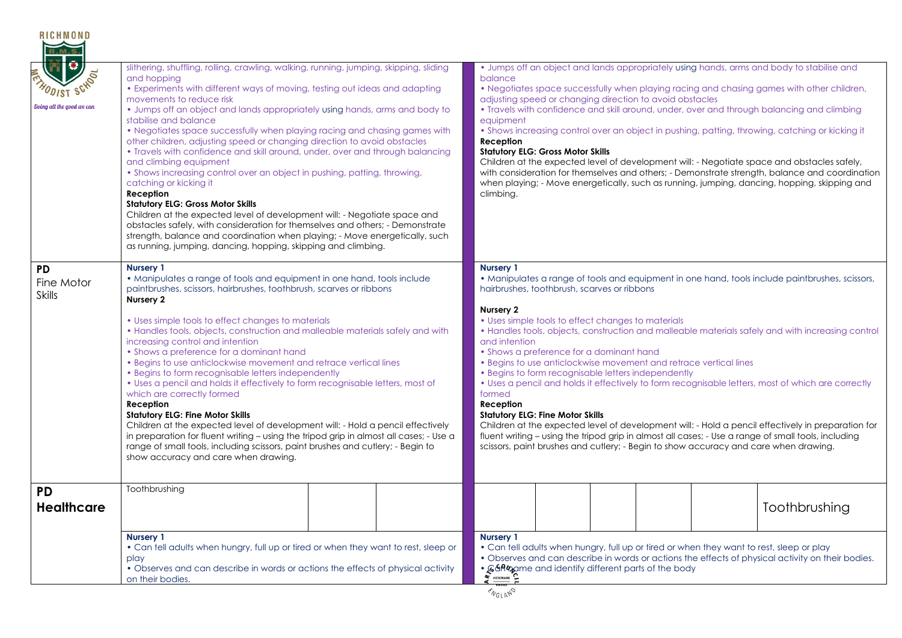| <b>RICHMOND</b><br>lo<br><b>ODIST SCHOOL</b><br>Doing all the good we can | slithering, shuffling, rolling, crawling, walking, running, jumping, skipping, sliding<br>and hopping<br>• Experiments with different ways of moving, testing out ideas and adapting<br>movements to reduce risk<br>. Jumps off an object and lands appropriately using hands, arms and body to<br>stabilise and balance<br>• Negotiates space successfully when playing racing and chasing games with<br>other children, adjusting speed or changing direction to avoid obstacles<br>• Travels with confidence and skill around, under, over and through balancing<br>and climbing equipment<br>• Shows increasing control over an object in pushing, patting, throwing,<br>catching or kicking it<br>Reception<br><b>Statutory ELG: Gross Motor Skills</b><br>Children at the expected level of development will: - Negotiate space and<br>obstacles safely, with consideration for themselves and others; - Demonstrate<br>strength, balance and coordination when playing; - Move energetically, such                                                                                   |  | balance<br>equipment<br>Reception<br>climbing.  | adjusting speed or changing direction to avoid obstacles<br><b>Statutory ELG: Gross Motor Skills</b>                                                                                                                                                                                                                                                                                                                                                                                                                                                                                                                                                                                                                                                                                                                                                                                                                                                                                                                    |  |  | . Jumps off an object and lands appropriately using hands, arms and body to stabilise and<br>• Negotiates space successfully when playing racing and chasing games with other children,<br>. Travels with confidence and skill around, under, over and through balancing and climbing<br>• Shows increasing control over an object in pushing, patting, throwing, catching or kicking it<br>Children at the expected level of development will: - Negotiate space and obstacles safely,<br>with consideration for themselves and others; - Demonstrate strength, balance and coordination<br>when playing; - Move energetically, such as running, jumping, dancing, hopping, skipping and |  |
|---------------------------------------------------------------------------|---------------------------------------------------------------------------------------------------------------------------------------------------------------------------------------------------------------------------------------------------------------------------------------------------------------------------------------------------------------------------------------------------------------------------------------------------------------------------------------------------------------------------------------------------------------------------------------------------------------------------------------------------------------------------------------------------------------------------------------------------------------------------------------------------------------------------------------------------------------------------------------------------------------------------------------------------------------------------------------------------------------------------------------------------------------------------------------------|--|-------------------------------------------------|-------------------------------------------------------------------------------------------------------------------------------------------------------------------------------------------------------------------------------------------------------------------------------------------------------------------------------------------------------------------------------------------------------------------------------------------------------------------------------------------------------------------------------------------------------------------------------------------------------------------------------------------------------------------------------------------------------------------------------------------------------------------------------------------------------------------------------------------------------------------------------------------------------------------------------------------------------------------------------------------------------------------------|--|--|-------------------------------------------------------------------------------------------------------------------------------------------------------------------------------------------------------------------------------------------------------------------------------------------------------------------------------------------------------------------------------------------------------------------------------------------------------------------------------------------------------------------------------------------------------------------------------------------------------------------------------------------------------------------------------------------|--|
| <b>PD</b><br>Fine Motor<br><b>Skills</b>                                  | as running, jumping, dancing, hopping, skipping and climbing.<br><b>Nursery 1</b><br>• Manipulates a range of tools and equipment in one hand, tools include<br>paintbrushes, scissors, hairbrushes, toothbrush, scarves or ribbons<br>Nursery 2<br>• Uses simple tools to effect changes to materials<br>• Handles tools, objects, construction and malleable materials safely and with<br>increasing control and intention<br>• Shows a preference for a dominant hand<br>• Begins to use anticlockwise movement and retrace vertical lines<br>• Begins to form recognisable letters independently<br>• Uses a pencil and holds it effectively to form recognisable letters, most of<br>which are correctly formed<br><b>Reception</b><br><b>Statutory ELG: Fine Motor Skills</b><br>Children at the expected level of development will: - Hold a pencil effectively<br>in preparation for fluent writing - using the tripod grip in almost all cases; - Use a<br>range of small tools, including scissors, paint brushes and cutlery; - Begin to<br>show accuracy and care when drawing. |  |                                                 | <b>Nursery 1</b><br>• Manipulates a range of tools and equipment in one hand, tools include paintbrushes, scissors,<br>hairbrushes, toothbrush, scarves or ribbons<br>Nursery 2<br>• Uses simple tools to effect changes to materials<br>• Handles tools, objects, construction and malleable materials safely and with increasing control<br>and intention<br>• Shows a preference for a dominant hand<br>• Begins to use anticlockwise movement and retrace vertical lines<br>• Begins to form recognisable letters independently<br>• Uses a pencil and holds it effectively to form recognisable letters, most of which are correctly<br>formed<br><b>Reception</b><br><b>Statutory ELG: Fine Motor Skills</b><br>Children at the expected level of development will: - Hold a pencil effectively in preparation for<br>fluent writing – using the tripod grip in almost all cases; - Use a range of small tools, including<br>scissors, paint brushes and cutlery; - Begin to show accuracy and care when drawing. |  |  |                                                                                                                                                                                                                                                                                                                                                                                                                                                                                                                                                                                                                                                                                           |  |
| <b>PD</b><br><b>Healthcare</b>                                            | Toothbrushing                                                                                                                                                                                                                                                                                                                                                                                                                                                                                                                                                                                                                                                                                                                                                                                                                                                                                                                                                                                                                                                                               |  |                                                 |                                                                                                                                                                                                                                                                                                                                                                                                                                                                                                                                                                                                                                                                                                                                                                                                                                                                                                                                                                                                                         |  |  | Toothbrushing                                                                                                                                                                                                                                                                                                                                                                                                                                                                                                                                                                                                                                                                             |  |
|                                                                           | <b>Nursery 1</b><br>• Can tell adults when hungry, full up or tired or when they want to rest, sleep or<br>play<br>• Observes and can describe in words or actions the effects of physical activity<br>on their bodies.                                                                                                                                                                                                                                                                                                                                                                                                                                                                                                                                                                                                                                                                                                                                                                                                                                                                     |  | <b>Nursery 1</b><br>$4 \frac{\text{ATSMARY}}{}$ | • GGR42ame and identify different parts of the body                                                                                                                                                                                                                                                                                                                                                                                                                                                                                                                                                                                                                                                                                                                                                                                                                                                                                                                                                                     |  |  | • Can tell adults when hungry, full up or tired or when they want to rest, sleep or play<br>• Observes and can describe in words or actions the effects of physical activity on their bodies.                                                                                                                                                                                                                                                                                                                                                                                                                                                                                             |  |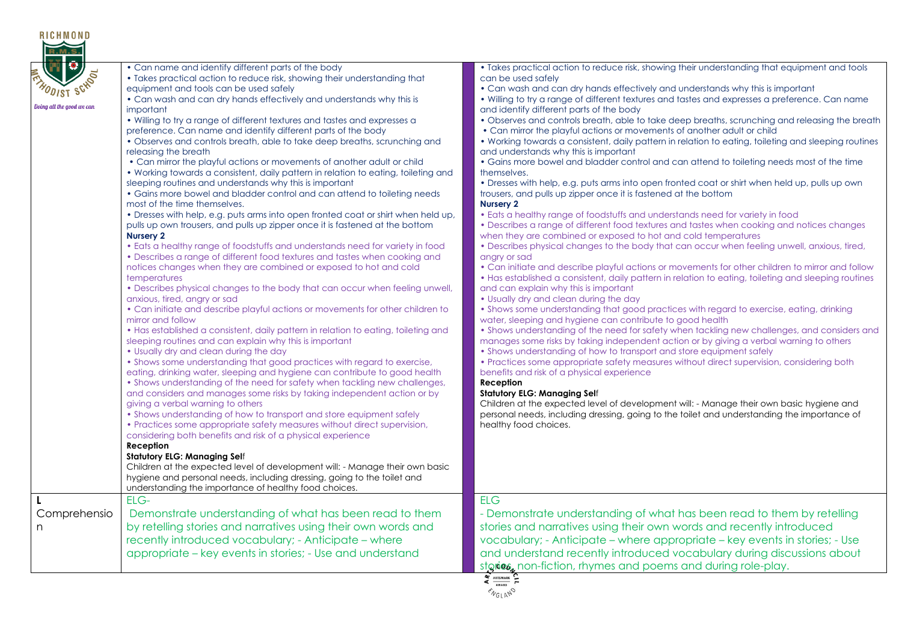| • Can name and identify different parts of the body<br>• Takes practical action to reduce risk, showing their understanding that<br>equipment and tools can be used safely<br>• Can wash and can dry hands effectively and understands why this is<br>important<br>• Willing to try a range of different textures and tastes and expresses a<br>preference. Can name and identify different parts of the body<br>• Observes and controls breath, able to take deep breaths, scrunching and<br>releasing the breath<br>• Can mirror the playful actions or movements of another adult or child<br>. Working towards a consistent, daily pattern in relation to eating, toileting and<br>sleeping routines and understands why this is important<br>• Gains more bowel and bladder control and can attend to toileting needs<br>most of the time themselves.<br>. Dresses with help, e.g. puts arms into open fronted coat or shirt when held up,<br>pulls up own trousers, and pulls up zipper once it is fastened at the bottom<br><b>Nursery 2</b><br>• Eats a healthy range of foodstuffs and understands need for variety in food<br>• Describes a range of different food textures and tastes when cooking and<br>notices changes when they are combined or exposed to hot and cold<br>temperatures<br>• Describes physical changes to the body that can occur when feeling unwell,<br>anxious, tired, angry or sad<br>• Can initiate and describe playful actions or movements for other children to<br>mirror and follow<br>• Has established a consistent, daily pattern in relation to eating, toileting and<br>sleeping routines and can explain why this is important<br>• Usually dry and clean during the day<br>• Shows some understanding that good practices with regard to exercise,<br>eating, drinking water, sleeping and hygiene can contribute to good health<br>• Shows understanding of the need for safety when tackling new challenges,<br>and considers and manages some risks by taking independent action or by<br>giving a verbal warning to others<br>• Shows understanding of how to transport and store equipment safely<br>• Practices some appropriate safety measures without direct supervision,<br>considering both benefits and risk of a physical experience<br>Reception<br><b>Statutory ELG: Managing Self</b><br>Children at the expected level of development will: - Manage their own basic | • Takes practical action to reduce risk, showing their understanding that equipment and tools<br>can be used safely<br>• Can wash and can dry hands effectively and understands why this is important<br>. Willing to try a range of different textures and tastes and expresses a preference. Can name<br>and identify different parts of the body<br>. Observes and controls breath, able to take deep breaths, scrunching and releasing the breath<br>• Can mirror the playful actions or movements of another adult or child<br>. Working towards a consistent, daily pattern in relation to eating, toileting and sleeping routines<br>and understands why this is important<br>• Gains more bowel and bladder control and can attend to toileting needs most of the time<br>themselves.<br>. Dresses with help, e.g. puts arms into open fronted coat or shirt when held up, pulls up own<br>trousers, and pulls up zipper once it is fastened at the bottom<br><b>Nursery 2</b><br>• Eats a healthy range of foodstuffs and understands need for variety in food<br>• Describes a range of different food textures and tastes when cooking and notices changes<br>when they are combined or exposed to hot and cold temperatures<br>• Describes physical changes to the body that can occur when feeling unwell, anxious, tired,<br>angry or sad<br>• Can initiate and describe playful actions or movements for other children to mirror and follow<br>. Has established a consistent, daily pattern in relation to eating, toileting and sleeping routines<br>and can explain why this is important<br>• Usually dry and clean during the day<br>. Shows some understanding that good practices with regard to exercise, eating, drinking<br>water, sleeping and hygiene can contribute to good health<br>• Shows understanding of the need for safety when tackling new challenges, and considers and<br>manages some risks by taking independent action or by giving a verbal warning to others<br>• Shows understanding of how to transport and store equipment safely<br>• Practices some appropriate safety measures without direct supervision, considering both<br>benefits and risk of a physical experience<br>Reception<br><b>Statutory ELG: Managing Self</b><br>Children at the expected level of development will: - Manage their own basic hygiene and<br>personal needs, including dressing, going to the toilet and understanding the importance of<br>healthy food choices. |
|-----------------------------------------------------------------------------------------------------------------------------------------------------------------------------------------------------------------------------------------------------------------------------------------------------------------------------------------------------------------------------------------------------------------------------------------------------------------------------------------------------------------------------------------------------------------------------------------------------------------------------------------------------------------------------------------------------------------------------------------------------------------------------------------------------------------------------------------------------------------------------------------------------------------------------------------------------------------------------------------------------------------------------------------------------------------------------------------------------------------------------------------------------------------------------------------------------------------------------------------------------------------------------------------------------------------------------------------------------------------------------------------------------------------------------------------------------------------------------------------------------------------------------------------------------------------------------------------------------------------------------------------------------------------------------------------------------------------------------------------------------------------------------------------------------------------------------------------------------------------------------------------------------------------------------------------------------------------------------------------------------------------------------------------------------------------------------------------------------------------------------------------------------------------------------------------------------------------------------------------------------------------------------------------------------------------------------------------------------------------------------------------------------------------------------------------|-------------------------------------------------------------------------------------------------------------------------------------------------------------------------------------------------------------------------------------------------------------------------------------------------------------------------------------------------------------------------------------------------------------------------------------------------------------------------------------------------------------------------------------------------------------------------------------------------------------------------------------------------------------------------------------------------------------------------------------------------------------------------------------------------------------------------------------------------------------------------------------------------------------------------------------------------------------------------------------------------------------------------------------------------------------------------------------------------------------------------------------------------------------------------------------------------------------------------------------------------------------------------------------------------------------------------------------------------------------------------------------------------------------------------------------------------------------------------------------------------------------------------------------------------------------------------------------------------------------------------------------------------------------------------------------------------------------------------------------------------------------------------------------------------------------------------------------------------------------------------------------------------------------------------------------------------------------------------------------------------------------------------------------------------------------------------------------------------------------------------------------------------------------------------------------------------------------------------------------------------------------------------------------------------------------------------------------------------------------------------------------------------------------------------------------------------------------------------------------------------------|
| understanding the importance of healthy food choices.                                                                                                                                                                                                                                                                                                                                                                                                                                                                                                                                                                                                                                                                                                                                                                                                                                                                                                                                                                                                                                                                                                                                                                                                                                                                                                                                                                                                                                                                                                                                                                                                                                                                                                                                                                                                                                                                                                                                                                                                                                                                                                                                                                                                                                                                                                                                                                                   |                                                                                                                                                                                                                                                                                                                                                                                                                                                                                                                                                                                                                                                                                                                                                                                                                                                                                                                                                                                                                                                                                                                                                                                                                                                                                                                                                                                                                                                                                                                                                                                                                                                                                                                                                                                                                                                                                                                                                                                                                                                                                                                                                                                                                                                                                                                                                                                                                                                                                                       |
| ELG-<br>Demonstrate understanding of what has been read to them<br>by retelling stories and narratives using their own words and<br>recently introduced vocabulary; - Anticipate - where<br>appropriate – key events in stories; - Use and understand                                                                                                                                                                                                                                                                                                                                                                                                                                                                                                                                                                                                                                                                                                                                                                                                                                                                                                                                                                                                                                                                                                                                                                                                                                                                                                                                                                                                                                                                                                                                                                                                                                                                                                                                                                                                                                                                                                                                                                                                                                                                                                                                                                                   | <b>ELG</b><br>- Demonstrate understanding of what has been read to them by retelling<br>stories and narratives using their own words and recently introduced<br>vocabulary; - Anticipate – where appropriate – key events in stories; - Use<br>and understand recently introduced vocabulary during discussions about<br>stgries, non-fiction, rhymes and poems and during role-play.                                                                                                                                                                                                                                                                                                                                                                                                                                                                                                                                                                                                                                                                                                                                                                                                                                                                                                                                                                                                                                                                                                                                                                                                                                                                                                                                                                                                                                                                                                                                                                                                                                                                                                                                                                                                                                                                                                                                                                                                                                                                                                                 |
|                                                                                                                                                                                                                                                                                                                                                                                                                                                                                                                                                                                                                                                                                                                                                                                                                                                                                                                                                                                                                                                                                                                                                                                                                                                                                                                                                                                                                                                                                                                                                                                                                                                                                                                                                                                                                                                                                                                                                                                                                                                                                                                                                                                                                                                                                                                                                                                                                                         | hygiene and personal needs, including dressing, going to the toilet and                                                                                                                                                                                                                                                                                                                                                                                                                                                                                                                                                                                                                                                                                                                                                                                                                                                                                                                                                                                                                                                                                                                                                                                                                                                                                                                                                                                                                                                                                                                                                                                                                                                                                                                                                                                                                                                                                                                                                                                                                                                                                                                                                                                                                                                                                                                                                                                                                               |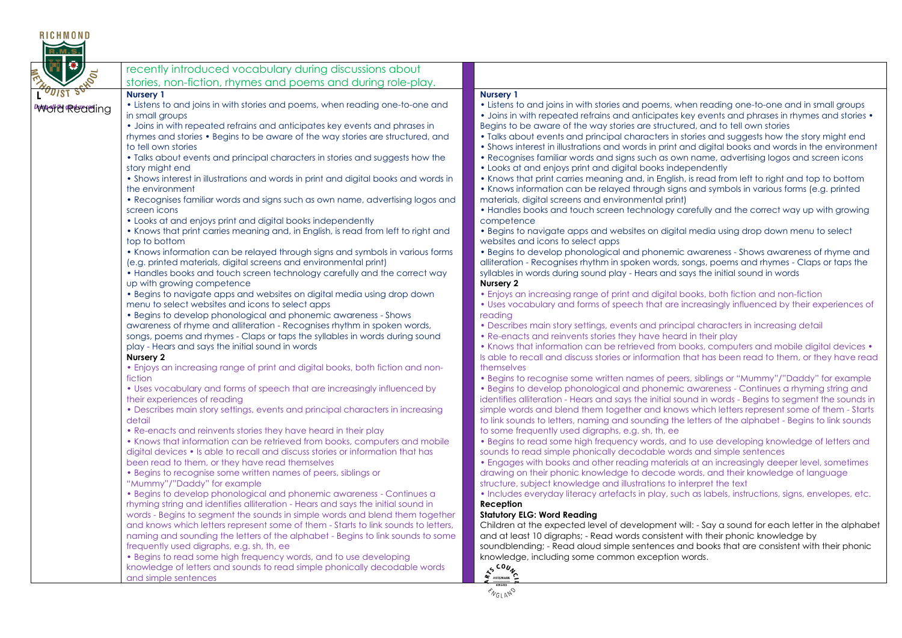| <b>RICHMOND</b><br>R.M.S        |                                                                                                                                                                                                                                                                                                                                                                                                                                                                                                                                                                                                                                                                                                                                                                                                                                                                                                                                                                                                                                                                                                                                                                                                                                                                                                                                                                                                                                                                                                                                                                                                                                                                                                                                                                                                                                                                                                                                                                                                                                                                                                                                                                                                                                                                                                                                                                                                                                                                                                                                                                                                                                                                                                                                                                                                                     |                                                                                                                                                                                                                                                                                                                                                                                                                                                                                                                                                                                                                                                                                                                                                                                                                                                                                                                                                                                                                                                                                                                                                                                                                                                                                                                                                                                                                                                                                                                                                                                                                                                                                                                                                                                                                                                                                                                                                                                                                                                                                                                                                                                                                                                                                                                                                                                                                                                                                                                                                                                                                                                                                                                                                                                                                                                                                                                                                                                                                                                                                                                                                                                                                                                                                                                                                                                                                                                                                                                                                                                         |
|---------------------------------|---------------------------------------------------------------------------------------------------------------------------------------------------------------------------------------------------------------------------------------------------------------------------------------------------------------------------------------------------------------------------------------------------------------------------------------------------------------------------------------------------------------------------------------------------------------------------------------------------------------------------------------------------------------------------------------------------------------------------------------------------------------------------------------------------------------------------------------------------------------------------------------------------------------------------------------------------------------------------------------------------------------------------------------------------------------------------------------------------------------------------------------------------------------------------------------------------------------------------------------------------------------------------------------------------------------------------------------------------------------------------------------------------------------------------------------------------------------------------------------------------------------------------------------------------------------------------------------------------------------------------------------------------------------------------------------------------------------------------------------------------------------------------------------------------------------------------------------------------------------------------------------------------------------------------------------------------------------------------------------------------------------------------------------------------------------------------------------------------------------------------------------------------------------------------------------------------------------------------------------------------------------------------------------------------------------------------------------------------------------------------------------------------------------------------------------------------------------------------------------------------------------------------------------------------------------------------------------------------------------------------------------------------------------------------------------------------------------------------------------------------------------------------------------------------------------------|-----------------------------------------------------------------------------------------------------------------------------------------------------------------------------------------------------------------------------------------------------------------------------------------------------------------------------------------------------------------------------------------------------------------------------------------------------------------------------------------------------------------------------------------------------------------------------------------------------------------------------------------------------------------------------------------------------------------------------------------------------------------------------------------------------------------------------------------------------------------------------------------------------------------------------------------------------------------------------------------------------------------------------------------------------------------------------------------------------------------------------------------------------------------------------------------------------------------------------------------------------------------------------------------------------------------------------------------------------------------------------------------------------------------------------------------------------------------------------------------------------------------------------------------------------------------------------------------------------------------------------------------------------------------------------------------------------------------------------------------------------------------------------------------------------------------------------------------------------------------------------------------------------------------------------------------------------------------------------------------------------------------------------------------------------------------------------------------------------------------------------------------------------------------------------------------------------------------------------------------------------------------------------------------------------------------------------------------------------------------------------------------------------------------------------------------------------------------------------------------------------------------------------------------------------------------------------------------------------------------------------------------------------------------------------------------------------------------------------------------------------------------------------------------------------------------------------------------------------------------------------------------------------------------------------------------------------------------------------------------------------------------------------------------------------------------------------------------------------------------------------------------------------------------------------------------------------------------------------------------------------------------------------------------------------------------------------------------------------------------------------------------------------------------------------------------------------------------------------------------------------------------------------------------------------------------------------------------|
| FI 0,<br><b>POULST SCHOOL</b>   | recently introduced vocabulary during discussions about<br>stories, non-fiction, rhymes and poems and during role-play.                                                                                                                                                                                                                                                                                                                                                                                                                                                                                                                                                                                                                                                                                                                                                                                                                                                                                                                                                                                                                                                                                                                                                                                                                                                                                                                                                                                                                                                                                                                                                                                                                                                                                                                                                                                                                                                                                                                                                                                                                                                                                                                                                                                                                                                                                                                                                                                                                                                                                                                                                                                                                                                                                             |                                                                                                                                                                                                                                                                                                                                                                                                                                                                                                                                                                                                                                                                                                                                                                                                                                                                                                                                                                                                                                                                                                                                                                                                                                                                                                                                                                                                                                                                                                                                                                                                                                                                                                                                                                                                                                                                                                                                                                                                                                                                                                                                                                                                                                                                                                                                                                                                                                                                                                                                                                                                                                                                                                                                                                                                                                                                                                                                                                                                                                                                                                                                                                                                                                                                                                                                                                                                                                                                                                                                                                                         |
| <b><i>Iviwellia Reading</i></b> | <b>Nursery 1</b><br>• Listens to and joins in with stories and poems, when reading one-to-one and<br>in small groups<br>• Joins in with repeated refrains and anticipates key events and phrases in<br>rhymes and stories • Begins to be aware of the way stories are structured, and<br>to tell own stories<br>• Talks about events and principal characters in stories and suggests how the<br>story might end<br>• Shows interest in illustrations and words in print and digital books and words in<br>the environment<br>• Recognises familiar words and signs such as own name, advertising logos and<br>screen icons<br>• Looks at and enjoys print and digital books independently<br>• Knows that print carries meaning and, in English, is read from left to right and<br>top to bottom<br>• Knows information can be relayed through signs and symbols in various forms<br>(e.g. printed materials, digital screens and environmental print)<br>• Handles books and touch screen technology carefully and the correct way<br>up with growing competence<br>. Begins to navigate apps and websites on digital media using drop down<br>menu to select websites and icons to select apps<br>• Begins to develop phonological and phonemic awareness - Shows<br>awareness of rhyme and alliteration - Recognises rhythm in spoken words,<br>songs, poems and rhymes - Claps or taps the syllables in words during sound<br>play - Hears and says the initial sound in words<br>Nursery 2<br>• Enjoys an increasing range of print and digital books, both fiction and non-<br>fiction<br>• Uses vocabulary and forms of speech that are increasingly influenced by<br>their experiences of reading<br>• Describes main story settings, events and principal characters in increasing<br>detail<br>• Re-enacts and reinvents stories they have heard in their play<br>• Knows that information can be retrieved from books, computers and mobile<br>digital devices • Is able to recall and discuss stories or information that has<br>been read to them, or they have read themselves<br>• Begins to recognise some written names of peers, siblings or<br>"Mummy"/"Daddy" for example<br>• Begins to develop phonological and phonemic awareness - Continues a<br>rhyming string and identifies alliteration - Hears and says the initial sound in<br>words - Begins to segment the sounds in simple words and blend them together<br>and knows which letters represent some of them - Starts to link sounds to letters,<br>naming and sounding the letters of the alphabet - Begins to link sounds to some<br>frequently used digraphs, e.g. sh, th, ee<br>• Begins to read some high frequency words, and to use developing<br>knowledge of letters and sounds to read simple phonically decodable words | <b>Nursery 1</b><br>• Listens to and joins in with stories and poems, when reading one-to-one and in small groups<br>• Joins in with repeated refrains and anticipates key events and phrases in rhymes and stories •<br>Begins to be aware of the way stories are structured, and to tell own stories<br>• Talks about events and principal characters in stories and suggests how the story might end<br>• Shows interest in illustrations and words in print and digital books and words in the environment<br>• Recognises familiar words and signs such as own name, advertising logos and screen icons<br>• Looks at and enjoys print and digital books independently<br>. Knows that print carries meaning and, in English, is read from left to right and top to bottom<br>• Knows information can be relayed through signs and symbols in various forms (e.g. printed<br>materials, digital screens and environmental print)<br>• Handles books and touch screen technology carefully and the correct way up with growing<br>competence<br>. Begins to navigate apps and websites on digital media using drop down menu to select<br>websites and icons to select apps<br>. Begins to develop phonological and phonemic awareness - Shows awareness of rhyme and<br>alliteration - Recognises rhythm in spoken words, songs, poems and rhymes - Claps or taps the<br>syllables in words during sound play - Hears and says the initial sound in words<br>Nursery 2<br>. Enjoys an increasing range of print and digital books, both fiction and non-fiction<br>• Uses vocabulary and forms of speech that are increasingly influenced by their experiences of<br>reading<br>• Describes main story settings, events and principal characters in increasing detail<br>• Re-enacts and reinvents stories they have heard in their play<br>• Knows that information can be retrieved from books, computers and mobile digital devices •<br>Is able to recall and discuss stories or information that has been read to them, or they have read<br>themselves<br>• Begins to recognise some written names of peers, siblings or "Mummy"/"Daddy" for example<br>• Begins to develop phonological and phonemic awareness - Continues a rhyming string and<br>identifies alliteration - Hears and says the initial sound in words - Begins to segment the sounds in<br>simple words and blend them together and knows which letters represent some of them - Starts<br>to link sounds to letters, naming and sounding the letters of the alphabet - Begins to link sounds<br>to some frequently used digraphs, e.g. sh, th, ee<br>• Begins to read some high frequency words, and to use developing knowledge of letters and<br>sounds to read simple phonically decodable words and simple sentences<br>• Engages with books and other reading materials at an increasingly deeper level, sometimes<br>drawing on their phonic knowledge to decode words, and their knowledge of language<br>structure, subject knowledge and illustrations to interpret the text<br>. Includes everyday literacy artefacts in play, such as labels, instructions, signs, envelopes, etc.<br>Reception<br><b>Statutory ELG: Word Reading</b><br>Children at the expected level of development will: - Say a sound for each letter in the alphabet<br>and at least 10 digraphs; - Read words consistent with their phonic knowledge by<br>soundblending; - Read aloud simple sentences and books that are consistent with their phonic<br>knowledge, including some common exception words.<br>AS COUN |
|                                 | and simple sentences                                                                                                                                                                                                                                                                                                                                                                                                                                                                                                                                                                                                                                                                                                                                                                                                                                                                                                                                                                                                                                                                                                                                                                                                                                                                                                                                                                                                                                                                                                                                                                                                                                                                                                                                                                                                                                                                                                                                                                                                                                                                                                                                                                                                                                                                                                                                                                                                                                                                                                                                                                                                                                                                                                                                                                                                | <b>ENGLAND</b>                                                                                                                                                                                                                                                                                                                                                                                                                                                                                                                                                                                                                                                                                                                                                                                                                                                                                                                                                                                                                                                                                                                                                                                                                                                                                                                                                                                                                                                                                                                                                                                                                                                                                                                                                                                                                                                                                                                                                                                                                                                                                                                                                                                                                                                                                                                                                                                                                                                                                                                                                                                                                                                                                                                                                                                                                                                                                                                                                                                                                                                                                                                                                                                                                                                                                                                                                                                                                                                                                                                                                                          |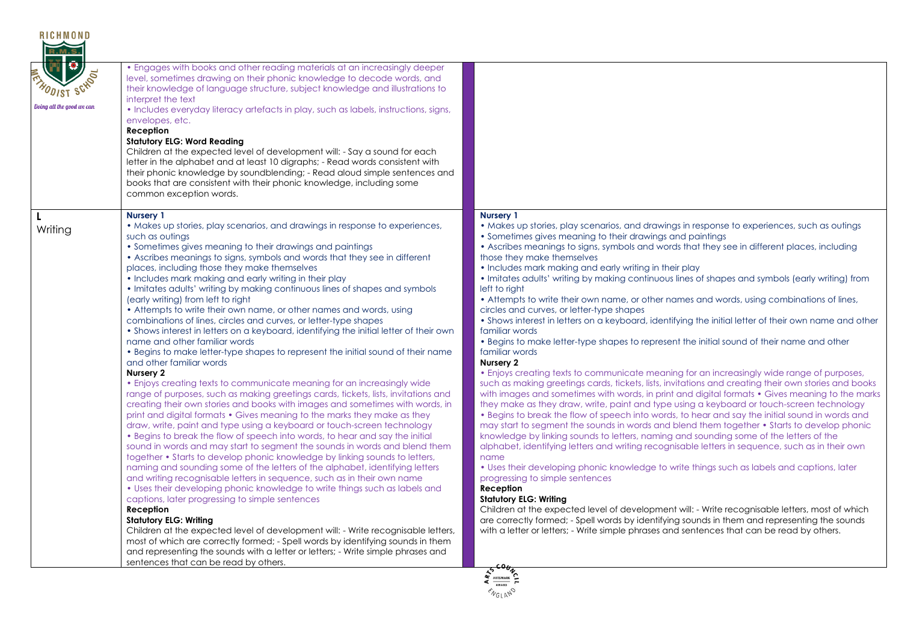| <b>ODIST SCHOOL</b><br>Doina all the aood we can | • Engages with books and other reading materials at an increasingly deeper<br>level, sometimes drawing on their phonic knowledge to decode words, and<br>their knowledge of language structure, subject knowledge and illustrations to<br>interpret the text<br>• Includes everyday literacy artefacts in play, such as labels, instructions, signs,<br>envelopes, etc.<br>Reception<br><b>Statutory ELG: Word Reading</b><br>Children at the expected level of development will: - Say a sound for each<br>letter in the alphabet and at least 10 digraphs; - Read words consistent with<br>their phonic knowledge by soundblending; - Read aloud simple sentences and<br>books that are consistent with their phonic knowledge, including some<br>common exception words.                                                                                                                                                                                                                                                                                                                                                                                                                                                                                                                                                                                                                                                                                                                                                                                                                                                                                                                                                                                                                                                                                                                                                                                                                                                                                                                                                                                                                            |                                                                                                                                                                                                                                                                                                                                                                                                                                                                                                                                                                                                                                                                                                                                                                                                                                                                                                                                                                                                                                                                                                                                                                                                                                                                                                                                                                                                                                                                                                                                                                                                                                                                                                                                                                                                                                                                                                                                                                                                                                                                                                                                                                                               |
|--------------------------------------------------|--------------------------------------------------------------------------------------------------------------------------------------------------------------------------------------------------------------------------------------------------------------------------------------------------------------------------------------------------------------------------------------------------------------------------------------------------------------------------------------------------------------------------------------------------------------------------------------------------------------------------------------------------------------------------------------------------------------------------------------------------------------------------------------------------------------------------------------------------------------------------------------------------------------------------------------------------------------------------------------------------------------------------------------------------------------------------------------------------------------------------------------------------------------------------------------------------------------------------------------------------------------------------------------------------------------------------------------------------------------------------------------------------------------------------------------------------------------------------------------------------------------------------------------------------------------------------------------------------------------------------------------------------------------------------------------------------------------------------------------------------------------------------------------------------------------------------------------------------------------------------------------------------------------------------------------------------------------------------------------------------------------------------------------------------------------------------------------------------------------------------------------------------------------------------------------------------------|-----------------------------------------------------------------------------------------------------------------------------------------------------------------------------------------------------------------------------------------------------------------------------------------------------------------------------------------------------------------------------------------------------------------------------------------------------------------------------------------------------------------------------------------------------------------------------------------------------------------------------------------------------------------------------------------------------------------------------------------------------------------------------------------------------------------------------------------------------------------------------------------------------------------------------------------------------------------------------------------------------------------------------------------------------------------------------------------------------------------------------------------------------------------------------------------------------------------------------------------------------------------------------------------------------------------------------------------------------------------------------------------------------------------------------------------------------------------------------------------------------------------------------------------------------------------------------------------------------------------------------------------------------------------------------------------------------------------------------------------------------------------------------------------------------------------------------------------------------------------------------------------------------------------------------------------------------------------------------------------------------------------------------------------------------------------------------------------------------------------------------------------------------------------------------------------------|
| Writing                                          | <b>Nursery 1</b><br>• Makes up stories, play scenarios, and drawings in response to experiences,<br>such as outings<br>• Sometimes gives meaning to their drawings and paintings<br>• Ascribes meanings to signs, symbols and words that they see in different<br>places, including those they make themselves<br>• Includes mark making and early writing in their play<br>• Imitates adults' writing by making continuous lines of shapes and symbols<br>(early writing) from left to right<br>• Attempts to write their own name, or other names and words, using<br>combinations of lines, circles and curves, or letter-type shapes<br>• Shows interest in letters on a keyboard, identifying the initial letter of their own<br>name and other familiar words<br>. Begins to make letter-type shapes to represent the initial sound of their name<br>and other familiar words<br>Nursery 2<br>• Enjoys creating texts to communicate meaning for an increasingly wide<br>range of purposes, such as making greetings cards, tickets, lists, invitations and<br>creating their own stories and books with images and sometimes with words, in<br>print and digital formats • Gives meaning to the marks they make as they<br>draw, write, paint and type using a keyboard or touch-screen technology<br>• Begins to break the flow of speech into words, to hear and say the initial<br>sound in words and may start to segment the sounds in words and blend them<br>together • Starts to develop phonic knowledge by linking sounds to letters,<br>naming and sounding some of the letters of the alphabet, identifying letters<br>and writing recognisable letters in sequence, such as in their own name<br>. Uses their developing phonic knowledge to write things such as labels and<br>captions, later progressing to simple sentences<br>Reception<br><b>Statutory ELG: Writing</b><br>Children at the expected level of development will: - Write recognisable letters,<br>most of which are correctly formed; - Spell words by identifying sounds in them<br>and representing the sounds with a letter or letters; - Write simple phrases and<br>sentences that can be read by others. | <b>Nursery 1</b><br>• Makes up stories, play scenarios, and drawings in response to experiences, such as outings<br>• Sometimes gives meaning to their drawings and paintings<br>• Ascribes meanings to signs, symbols and words that they see in different places, including<br>those they make themselves<br>• Includes mark making and early writing in their play<br>. Imitates adults' writing by making continuous lines of shapes and symbols (early writing) from<br>left to right<br>• Attempts to write their own name, or other names and words, using combinations of lines,<br>circles and curves, or letter-type shapes<br>• Shows interest in letters on a keyboard, identifying the initial letter of their own name and other<br>familiar words<br>• Begins to make letter-type shapes to represent the initial sound of their name and other<br>familiar words<br>Nursery 2<br>• Enjoys creating texts to communicate meaning for an increasingly wide range of purposes,<br>such as making greetings cards, tickets, lists, invitations and creating their own stories and books<br>with images and sometimes with words, in print and digital formats • Gives meaning to the marks<br>they make as they draw, write, paint and type using a keyboard or touch-screen technology<br>• Begins to break the flow of speech into words, to hear and say the initial sound in words and<br>may start to segment the sounds in words and blend them together • Starts to develop phonic<br>knowledge by linking sounds to letters, naming and sounding some of the letters of the<br>alphabet, identifying letters and writing recognisable letters in sequence, such as in their own<br>name<br>• Uses their developing phonic knowledge to write things such as labels and captions, later<br>progressing to simple sentences<br>Reception<br><b>Statutory ELG: Writing</b><br>Children at the expected level of development will: - Write recognisable letters, most of which<br>are correctly formed; - Spell words by identifying sounds in them and representing the sounds<br>with a letter or letters; - Write simple phrases and sentences that can be read by others. |
|                                                  |                                                                                                                                                                                                                                                                                                                                                                                                                                                                                                                                                                                                                                                                                                                                                                                                                                                                                                                                                                                                                                                                                                                                                                                                                                                                                                                                                                                                                                                                                                                                                                                                                                                                                                                                                                                                                                                                                                                                                                                                                                                                                                                                                                                                        | AWARD<br><b>ENGLAND</b>                                                                                                                                                                                                                                                                                                                                                                                                                                                                                                                                                                                                                                                                                                                                                                                                                                                                                                                                                                                                                                                                                                                                                                                                                                                                                                                                                                                                                                                                                                                                                                                                                                                                                                                                                                                                                                                                                                                                                                                                                                                                                                                                                                       |

RICHMOND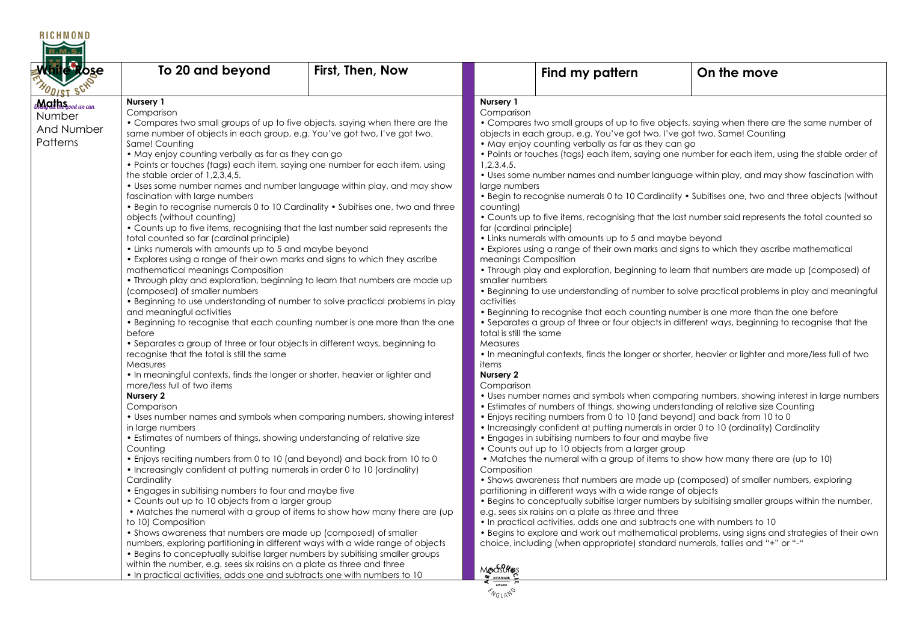| <b>RICHMOND</b>                                                   |                                                                                                                                                                                                                                                                                                                                                                                                                                                                                                                                                                                                                                                                                                                                                                                                                                                                                                                                                                                                                                                                                                                                                                                                                                                                                                                                                                                                                                                                                                                                                                                                                                                                                                                                                                                                                                                                                                                                                                                                                                                                                                                                                                                                                                                                                                                                                                                                                                                                                                                            |                  |                                                                                                                                                                                                                                                                |                                                                                                                                                                                                                                                                                                                                                                                                                                                                                                                                                                                         |                                                                                                                                                                                                                                                                                                                                                                                                                                                                                                                                                                                                                                                                                                                                                                                                                                                                                                                                                                                                                                                                                                                                                                                                                                                                                                                                                                                                                                                                                                                                                                                                                                                                                                                                                                                                                                                |
|-------------------------------------------------------------------|----------------------------------------------------------------------------------------------------------------------------------------------------------------------------------------------------------------------------------------------------------------------------------------------------------------------------------------------------------------------------------------------------------------------------------------------------------------------------------------------------------------------------------------------------------------------------------------------------------------------------------------------------------------------------------------------------------------------------------------------------------------------------------------------------------------------------------------------------------------------------------------------------------------------------------------------------------------------------------------------------------------------------------------------------------------------------------------------------------------------------------------------------------------------------------------------------------------------------------------------------------------------------------------------------------------------------------------------------------------------------------------------------------------------------------------------------------------------------------------------------------------------------------------------------------------------------------------------------------------------------------------------------------------------------------------------------------------------------------------------------------------------------------------------------------------------------------------------------------------------------------------------------------------------------------------------------------------------------------------------------------------------------------------------------------------------------------------------------------------------------------------------------------------------------------------------------------------------------------------------------------------------------------------------------------------------------------------------------------------------------------------------------------------------------------------------------------------------------------------------------------------------------|------------------|----------------------------------------------------------------------------------------------------------------------------------------------------------------------------------------------------------------------------------------------------------------|-----------------------------------------------------------------------------------------------------------------------------------------------------------------------------------------------------------------------------------------------------------------------------------------------------------------------------------------------------------------------------------------------------------------------------------------------------------------------------------------------------------------------------------------------------------------------------------------|------------------------------------------------------------------------------------------------------------------------------------------------------------------------------------------------------------------------------------------------------------------------------------------------------------------------------------------------------------------------------------------------------------------------------------------------------------------------------------------------------------------------------------------------------------------------------------------------------------------------------------------------------------------------------------------------------------------------------------------------------------------------------------------------------------------------------------------------------------------------------------------------------------------------------------------------------------------------------------------------------------------------------------------------------------------------------------------------------------------------------------------------------------------------------------------------------------------------------------------------------------------------------------------------------------------------------------------------------------------------------------------------------------------------------------------------------------------------------------------------------------------------------------------------------------------------------------------------------------------------------------------------------------------------------------------------------------------------------------------------------------------------------------------------------------------------------------------------|
| While Rose<br>MODIST SCHO                                         | To 20 and beyond                                                                                                                                                                                                                                                                                                                                                                                                                                                                                                                                                                                                                                                                                                                                                                                                                                                                                                                                                                                                                                                                                                                                                                                                                                                                                                                                                                                                                                                                                                                                                                                                                                                                                                                                                                                                                                                                                                                                                                                                                                                                                                                                                                                                                                                                                                                                                                                                                                                                                                           | First, Then, Now |                                                                                                                                                                                                                                                                | Find my pattern                                                                                                                                                                                                                                                                                                                                                                                                                                                                                                                                                                         | On the move                                                                                                                                                                                                                                                                                                                                                                                                                                                                                                                                                                                                                                                                                                                                                                                                                                                                                                                                                                                                                                                                                                                                                                                                                                                                                                                                                                                                                                                                                                                                                                                                                                                                                                                                                                                                                                    |
| b <b>M,Cit hS</b> pood we can<br>Number<br>And Number<br>Patterns | Nursery 1<br>Comparison<br>• Compares two small groups of up to five objects, saying when there are the<br>same number of objects in each group, e.g. You've got two, I've got two.<br>Same! Counting<br>• May enjoy counting verbally as far as they can go<br>• Points or touches (tags) each item, saying one number for each item, using<br>the stable order of 1,2,3,4,5.<br>• Uses some number names and number language within play, and may show<br>fascination with large numbers<br>. Begin to recognise numerals 0 to 10 Cardinality . Subitises one, two and three<br>objects (without counting)<br>• Counts up to five items, recognising that the last number said represents the<br>total counted so far (cardinal principle)<br>• Links numerals with amounts up to 5 and maybe beyond<br>• Explores using a range of their own marks and signs to which they ascribe<br>mathematical meanings Composition<br>. Through play and exploration, beginning to learn that numbers are made up<br>(composed) of smaller numbers<br>• Beginning to use understanding of number to solve practical problems in play<br>and meaningful activities<br>. Beginning to recognise that each counting number is one more than the one<br>before<br>• Separates a group of three or four objects in different ways, beginning to<br>recognise that the total is still the same<br>Measures<br>• In meaningful contexts, finds the longer or shorter, heavier or lighter and<br>more/less full of two items<br>Nursery 2<br>Comparison<br>• Uses number names and symbols when comparing numbers, showing interest<br>in large numbers<br>• Estimates of numbers of things, showing understanding of relative size<br>Counting<br>• Enjoys reciting numbers from 0 to 10 (and beyond) and back from 10 to 0<br>• Increasingly confident at putting numerals in order 0 to 10 (ordinality)<br>Cardinality<br>• Engages in subitising numbers to four and maybe five<br>• Counts out up to 10 objects from a larger group<br>• Matches the numeral with a group of items to show how many there are (up)<br>to 10) Composition<br>• Shows awareness that numbers are made up (composed) of smaller<br>numbers, exploring partitioning in different ways with a wide range of objects<br>• Begins to conceptually subitise larger numbers by subitising smaller groups<br>within the number, e.g. sees six raisins on a plate as three and three<br>• In practical activities, adds one and subtracts one with numbers to 10 |                  | Nursery 1<br>Comparison<br>1,2,3,4,5.<br>large numbers<br>counting)<br>far (cardinal principle)<br>meanings Composition<br>smaller numbers<br>activities<br>total is still the same<br>Measures<br>items<br>Nursery 2<br>Comparison<br>Composition<br>Modsures | objects in each group, e.g. You've got two, I've got two. Same! Counting<br>• May enjoy counting verbally as far as they can go<br>• Links numerals with amounts up to 5 and maybe beyond<br>. Enjoys reciting numbers from 0 to 10 (and beyond) and back from 10 to 0<br>• Engages in subitising numbers to four and maybe five<br>• Counts out up to 10 objects from a larger group<br>partitioning in different ways with a wide range of objects<br>e.g. sees six raisins on a plate as three and three<br>. In practical activities, adds one and subtracts one with numbers to 10 | • Compares two small groups of up to five objects, saying when there are the same number of<br>• Points or touches (tags) each item, saying one number for each item, using the stable order of<br>• Uses some number names and number language within play, and may show fascination with<br>• Begin to recognise numerals 0 to 10 Cardinality • Subitises one, two and three objects (without<br>• Counts up to five items, recognising that the last number said represents the total counted so<br>• Explores using a range of their own marks and signs to which they ascribe mathematical<br>• Through play and exploration, beginning to learn that numbers are made up (composed) of<br>• Beginning to use understanding of number to solve practical problems in play and meaningful<br>• Beginning to recognise that each counting number is one more than the one before<br>• Separates a group of three or four objects in different ways, beginning to recognise that the<br>. In meaningful contexts, finds the longer or shorter, heavier or lighter and more/less full of two<br>• Uses number names and symbols when comparing numbers, showing interest in large numbers<br>• Estimates of numbers of things, showing understanding of relative size Counting<br>• Increasingly confident at putting numerals in order 0 to 10 (ordinality) Cardinality<br>• Matches the numeral with a group of items to show how many there are (up to 10)<br>• Shows awareness that numbers are made up (composed) of smaller numbers, exploring<br>. Begins to conceptually subitise larger numbers by subitising smaller groups within the number,<br>• Begins to explore and work out mathematical problems, using signs and strategies of their own<br>choice, including (when appropriate) standard numerals, tallies and "+" or "-" |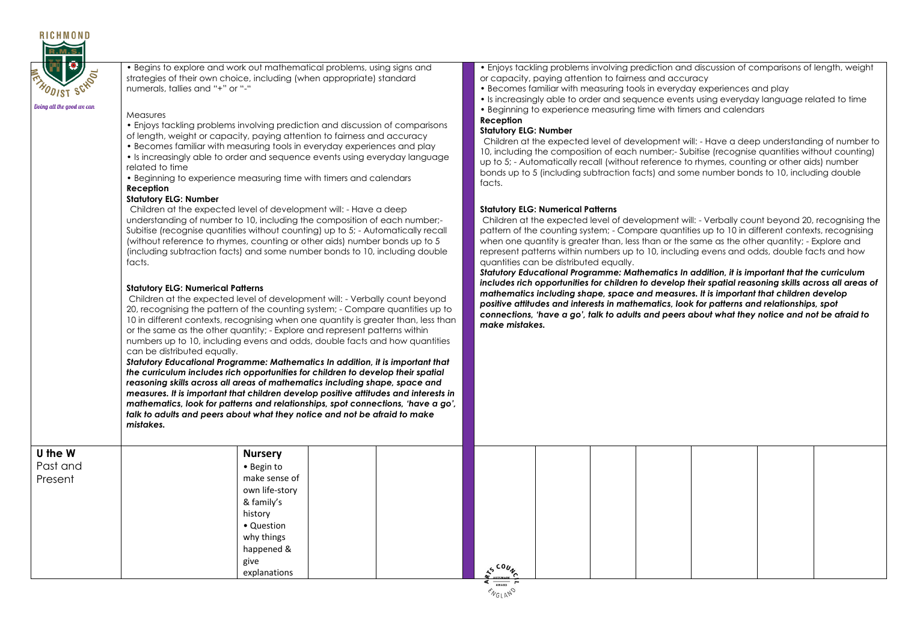

• Begins to explore and work out mathematical problems, using signs and strategies of their own choice, including (when appropriate) standard numerals, tallies and "+" or "-"

#### **Measures**

- Enjoys tackling problems involving prediction and discussion of comparisons of length, weight or capacity, paying attention to fairness and accuracy
- Becomes familiar with measuring tools in everyday experiences and play
- Is increasingly able to order and sequence events using everyday language related to time
- Beginning to experience measuring time with timers and calendars

### **Reception**

#### **Statutory ELG: Number**

Children at the expected level of development will: - Have a deep understanding of number to 10, including the composition of each number;- Subitise (recognise quantities without counting) up to 5; - Automatically recall (without reference to rhymes, counting or other aids) number bonds up to 5 (including subtraction facts) and some number bonds to 10, including double facts.

### **Statutory ELG: Numerical Patterns**

Children at the expected level of development will: - Verbally count beyond 20, recognising the pattern of the counting system; - Compare quantities up to 10 in different contexts, recognising when one quantity is greater than, less than or the same as the other quantity; - Explore and represent patterns within numbers up to 10, including evens and odds, double facts and how quantities can be distributed equally.

*Statutory Educational Programme: Mathematics In addition, it is important that the curriculum includes rich opportunities for children to develop their spatial reasoning skills across all areas of mathematics including shape, space and measures. It is important that children develop positive attitudes and interests in mathematics, look for patterns and relationships, spot connections, 'have a go', talk to adults and peers about what they notice and not be afraid to make mistakes.*

• Enjoys tackling problems involving prediction and discussion of comparisons of length, weight or capacity, paying attention to fairness and accuracy

- Becomes familiar with measuring tools in everyday experiences and play
- Is increasingly able to order and sequence events using everyday language related to time
- Beginning to experience measuring time with timers and calendars

## **Reception**

#### **Statutory ELG: Number**

Children at the expected level of development will: - Have a deep understanding of number to 10, including the composition of each number;- Subitise (recognise quantities without counting) up to 5; - Automatically recall (without reference to rhymes, counting or other aids) number bonds up to 5 (including subtraction facts) and some number bonds to 10, including double facts.

### **Statutory ELG: Numerical Patterns**

Children at the expected level of development will: - Verbally count beyond 20, recognising the pattern of the counting system; - Compare quantities up to 10 in different contexts, recognising when one quantity is greater than, less than or the same as the other quantity; - Explore and represent patterns within numbers up to 10, including evens and odds, double facts and how quantities can be distributed equally.

*Statutory Educational Programme: Mathematics In addition, it is important that the curriculum includes rich opportunities for children to develop their spatial reasoning skills across all areas of mathematics including shape, space and measures. It is important that children develop positive attitudes and interests in mathematics, look for patterns and relationships, spot connections, 'have a go', talk to adults and peers about what they notice and not be afraid to make mistakes.*

| U the W  | <b>Nursery</b> |                                 |  |
|----------|----------------|---------------------------------|--|
| Past and | • Begin to     |                                 |  |
| Present  | make sense of  |                                 |  |
|          | own life-story |                                 |  |
|          | & family's     |                                 |  |
|          | history        |                                 |  |
|          | • Question     |                                 |  |
|          | why things     |                                 |  |
|          | happened &     |                                 |  |
|          | give           | $co_{u_A}$                      |  |
|          | explanations   | <b>ARTSMARK</b><br>$\epsilon$ — |  |

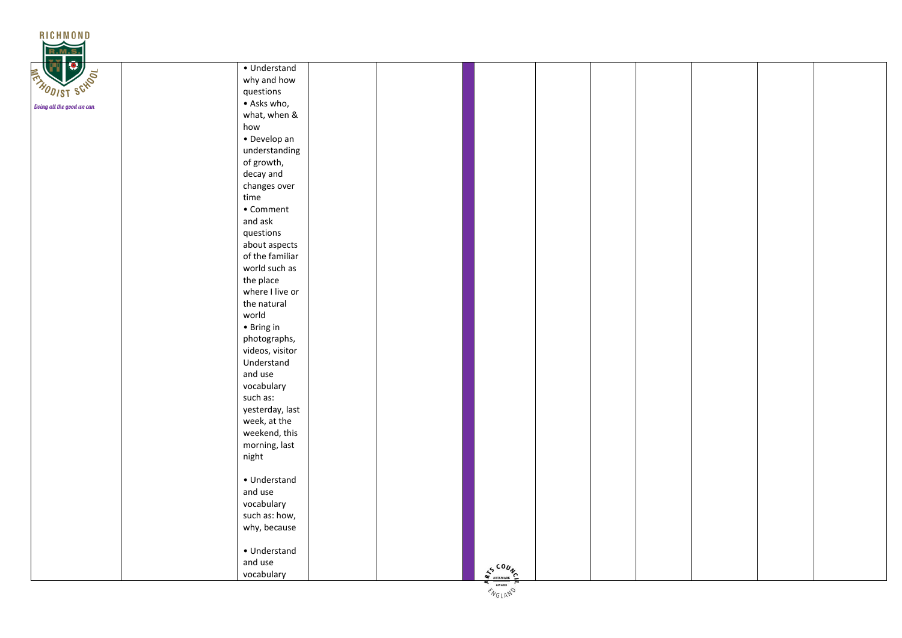

|  | • Understand      |                               |  |  |  |
|--|-------------------|-------------------------------|--|--|--|
|  | why and how       |                               |  |  |  |
|  | questions         |                               |  |  |  |
|  | · Asks who,       |                               |  |  |  |
|  | what, when &      |                               |  |  |  |
|  | how               |                               |  |  |  |
|  | · Develop an      |                               |  |  |  |
|  | understanding     |                               |  |  |  |
|  | of growth,        |                               |  |  |  |
|  | decay and         |                               |  |  |  |
|  | changes over      |                               |  |  |  |
|  | time              |                               |  |  |  |
|  | $\bullet$ Comment |                               |  |  |  |
|  | and ask           |                               |  |  |  |
|  | questions         |                               |  |  |  |
|  | about aspects     |                               |  |  |  |
|  | of the familiar   |                               |  |  |  |
|  | world such as     |                               |  |  |  |
|  | the place         |                               |  |  |  |
|  | where I live or   |                               |  |  |  |
|  | the natural       |                               |  |  |  |
|  | world             |                               |  |  |  |
|  | • Bring in        |                               |  |  |  |
|  | photographs,      |                               |  |  |  |
|  | videos, visitor   |                               |  |  |  |
|  | Understand        |                               |  |  |  |
|  | and use           |                               |  |  |  |
|  | vocabulary        |                               |  |  |  |
|  | such as:          |                               |  |  |  |
|  | yesterday, last   |                               |  |  |  |
|  | week, at the      |                               |  |  |  |
|  | weekend, this     |                               |  |  |  |
|  | morning, last     |                               |  |  |  |
|  | night             |                               |  |  |  |
|  |                   |                               |  |  |  |
|  | • Understand      |                               |  |  |  |
|  | and use           |                               |  |  |  |
|  | vocabulary        |                               |  |  |  |
|  | such as: how,     |                               |  |  |  |
|  | why, because      |                               |  |  |  |
|  |                   |                               |  |  |  |
|  | • Understand      |                               |  |  |  |
|  | and use           |                               |  |  |  |
|  | vocabulary        | $A^{s \text{COU}}_{\text{A}}$ |  |  |  |
|  |                   |                               |  |  |  |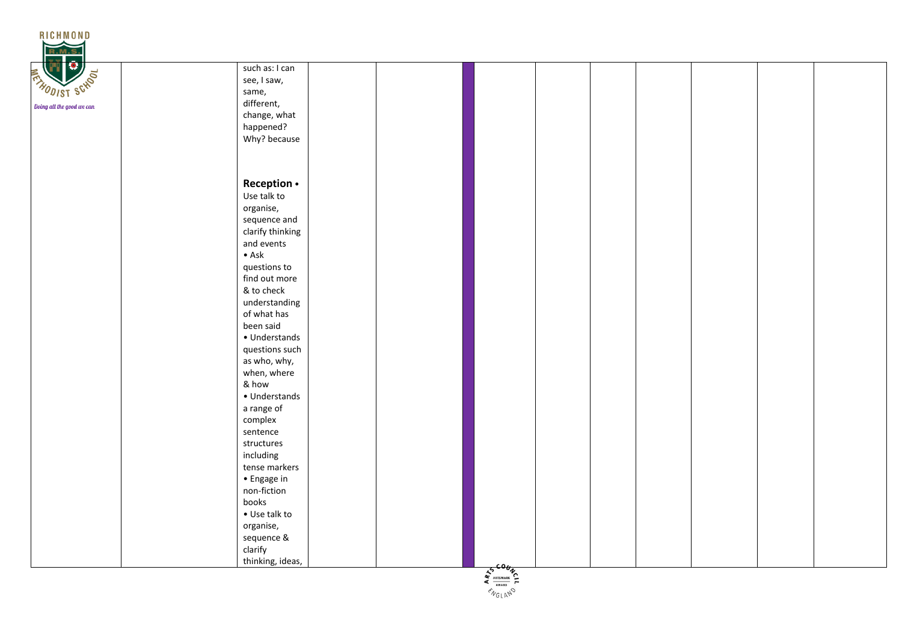

| <b>SCHOOL</b> | such as: I can   |  |               |  |  |  |
|---------------|------------------|--|---------------|--|--|--|
|               | see, I saw,      |  |               |  |  |  |
|               | same,            |  |               |  |  |  |
| od we can     | different,       |  |               |  |  |  |
|               | change, what     |  |               |  |  |  |
|               | happened?        |  |               |  |  |  |
|               | Why? because     |  |               |  |  |  |
|               |                  |  |               |  |  |  |
|               |                  |  |               |  |  |  |
|               |                  |  |               |  |  |  |
|               | Reception .      |  |               |  |  |  |
|               | Use talk to      |  |               |  |  |  |
|               | organise,        |  |               |  |  |  |
|               | sequence and     |  |               |  |  |  |
|               | clarify thinking |  |               |  |  |  |
|               | and events       |  |               |  |  |  |
|               | $\bullet$ Ask    |  |               |  |  |  |
|               | questions to     |  |               |  |  |  |
|               | find out more    |  |               |  |  |  |
|               | & to check       |  |               |  |  |  |
|               | understanding    |  |               |  |  |  |
|               | of what has      |  |               |  |  |  |
|               | been said        |  |               |  |  |  |
|               | • Understands    |  |               |  |  |  |
|               | questions such   |  |               |  |  |  |
|               | as who, why,     |  |               |  |  |  |
|               | when, where      |  |               |  |  |  |
|               | & how            |  |               |  |  |  |
|               | • Understands    |  |               |  |  |  |
|               | a range of       |  |               |  |  |  |
|               | complex          |  |               |  |  |  |
|               | sentence         |  |               |  |  |  |
|               | structures       |  |               |  |  |  |
|               | including        |  |               |  |  |  |
|               | tense markers    |  |               |  |  |  |
|               | • Engage in      |  |               |  |  |  |
|               | non-fiction      |  |               |  |  |  |
|               | books            |  |               |  |  |  |
|               | • Use talk to    |  |               |  |  |  |
|               | organise,        |  |               |  |  |  |
|               | sequence &       |  |               |  |  |  |
|               | clarify          |  |               |  |  |  |
|               | thinking, ideas, |  | $co_{\theta}$ |  |  |  |
|               |                  |  |               |  |  |  |

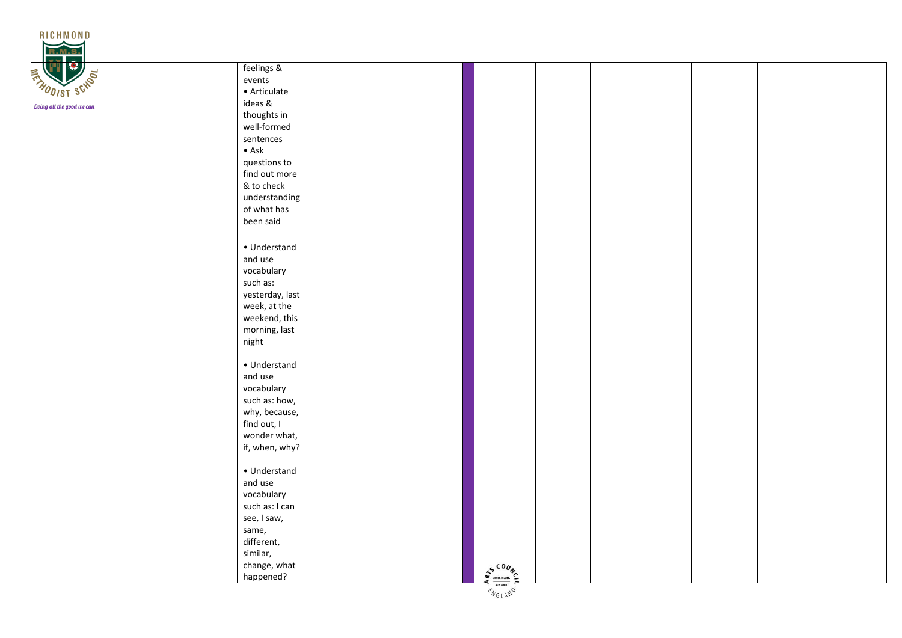

|  | feelings &      |  |                         |  |  |  |
|--|-----------------|--|-------------------------|--|--|--|
|  | events          |  |                         |  |  |  |
|  | • Articulate    |  |                         |  |  |  |
|  | ideas &         |  |                         |  |  |  |
|  | thoughts in     |  |                         |  |  |  |
|  | well-formed     |  |                         |  |  |  |
|  | sentences       |  |                         |  |  |  |
|  | $\bullet$ Ask   |  |                         |  |  |  |
|  | questions to    |  |                         |  |  |  |
|  | find out more   |  |                         |  |  |  |
|  | & to check      |  |                         |  |  |  |
|  | understanding   |  |                         |  |  |  |
|  | of what has     |  |                         |  |  |  |
|  | been said       |  |                         |  |  |  |
|  |                 |  |                         |  |  |  |
|  | • Understand    |  |                         |  |  |  |
|  | and use         |  |                         |  |  |  |
|  | vocabulary      |  |                         |  |  |  |
|  | such as:        |  |                         |  |  |  |
|  | yesterday, last |  |                         |  |  |  |
|  | week, at the    |  |                         |  |  |  |
|  | weekend, this   |  |                         |  |  |  |
|  | morning, last   |  |                         |  |  |  |
|  | night           |  |                         |  |  |  |
|  |                 |  |                         |  |  |  |
|  | • Understand    |  |                         |  |  |  |
|  | and use         |  |                         |  |  |  |
|  | vocabulary      |  |                         |  |  |  |
|  | such as: how,   |  |                         |  |  |  |
|  | why, because,   |  |                         |  |  |  |
|  | find out, I     |  |                         |  |  |  |
|  | wonder what,    |  |                         |  |  |  |
|  | if, when, why?  |  |                         |  |  |  |
|  |                 |  |                         |  |  |  |
|  | • Understand    |  |                         |  |  |  |
|  | and use         |  |                         |  |  |  |
|  | vocabulary      |  |                         |  |  |  |
|  | such as: I can  |  |                         |  |  |  |
|  | see, I saw,     |  |                         |  |  |  |
|  | same,           |  |                         |  |  |  |
|  | different,      |  |                         |  |  |  |
|  | similar,        |  |                         |  |  |  |
|  | change, what    |  |                         |  |  |  |
|  | happened?       |  | $S_{\text{max}}^{0.00}$ |  |  |  |
|  |                 |  |                         |  |  |  |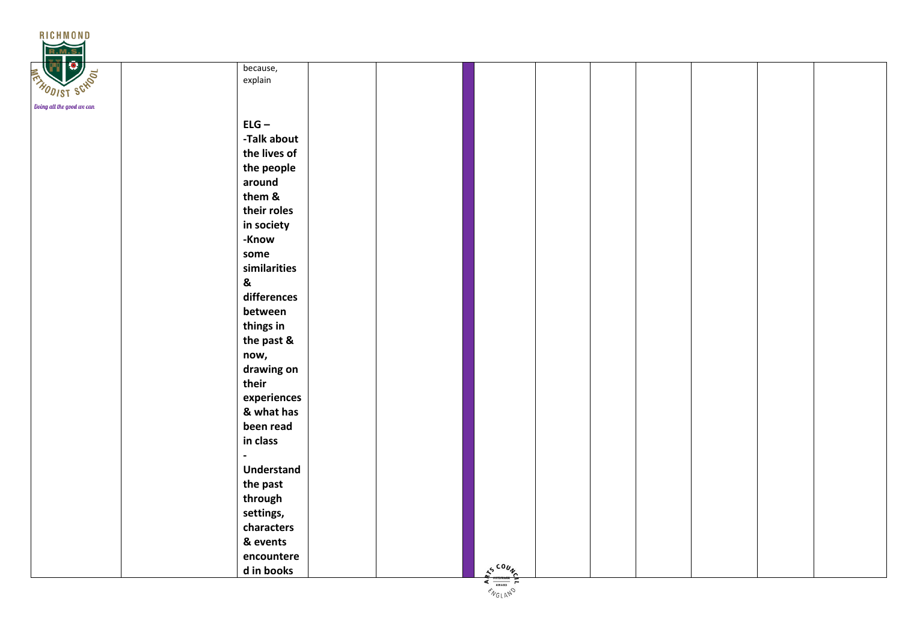

| $\overline{\phantom{a}}$ |                           | because,<br>explain |             |  |  |  |
|--------------------------|---------------------------|---------------------|-------------|--|--|--|
|                          |                           |                     |             |  |  |  |
|                          |                           |                     |             |  |  |  |
|                          |                           | $ELG -$             |             |  |  |  |
|                          |                           | -Talk about         |             |  |  |  |
|                          |                           | the lives of        |             |  |  |  |
|                          |                           | the people          |             |  |  |  |
|                          |                           | around              |             |  |  |  |
|                          |                           | them &              |             |  |  |  |
|                          |                           | their roles         |             |  |  |  |
|                          |                           | in society          |             |  |  |  |
|                          |                           | -Know               |             |  |  |  |
|                          |                           | some                |             |  |  |  |
|                          |                           | similarities        |             |  |  |  |
|                          | $\boldsymbol{\mathsf{g}}$ |                     |             |  |  |  |
|                          |                           | differences         |             |  |  |  |
|                          |                           | between             |             |  |  |  |
|                          |                           | things in           |             |  |  |  |
|                          |                           | the past &          |             |  |  |  |
|                          |                           | now,                |             |  |  |  |
|                          |                           | drawing on          |             |  |  |  |
|                          |                           | their               |             |  |  |  |
|                          |                           | experiences         |             |  |  |  |
|                          |                           | & what has          |             |  |  |  |
|                          |                           | been read           |             |  |  |  |
|                          |                           | in class            |             |  |  |  |
|                          |                           |                     |             |  |  |  |
|                          |                           | <b>Understand</b>   |             |  |  |  |
|                          |                           | the past            |             |  |  |  |
|                          |                           | through             |             |  |  |  |
|                          |                           | settings,           |             |  |  |  |
|                          |                           | characters          |             |  |  |  |
|                          |                           | & events            |             |  |  |  |
|                          |                           | encountere          |             |  |  |  |
|                          |                           | d in books          | $s^{500}\%$ |  |  |  |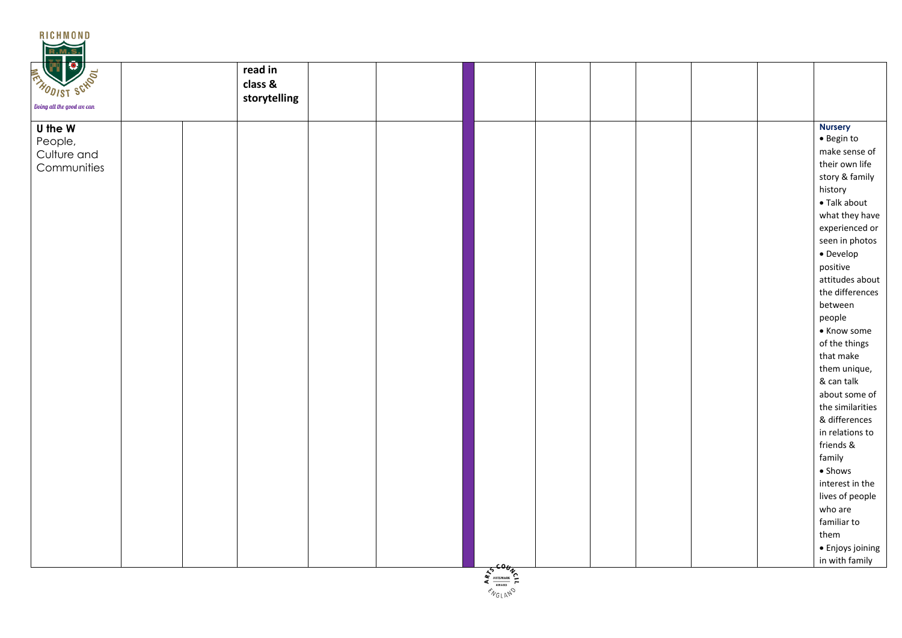| U the W<br>People,<br>Culture and |                                      |
|-----------------------------------|--------------------------------------|
|                                   | <b>Nursery</b><br>$\bullet$ Begin to |
|                                   | make sense of                        |
|                                   | their own life                       |
| Communities                       | story & family                       |
|                                   | history                              |
|                                   | • Talk about                         |
|                                   | what they have                       |
|                                   | experienced or                       |
|                                   | seen in photos                       |
|                                   | $\bullet$ Develop                    |
|                                   | positive                             |
|                                   | attitudes about                      |
|                                   | the differences                      |
|                                   | between                              |
|                                   | people                               |
|                                   | • Know some                          |
|                                   | of the things                        |
|                                   | that make                            |
|                                   | them unique,                         |
|                                   | & can talk                           |
|                                   | about some of                        |
|                                   | the similarities                     |
|                                   | & differences<br>in relations to     |
|                                   | friends &                            |
|                                   | family                               |
|                                   | • Shows                              |
|                                   | interest in the                      |
|                                   | lives of people                      |
|                                   | who are                              |
|                                   | familiar to                          |
|                                   | them                                 |
|                                   | · Enjoys joining                     |
| 5606y                             | in with family                       |

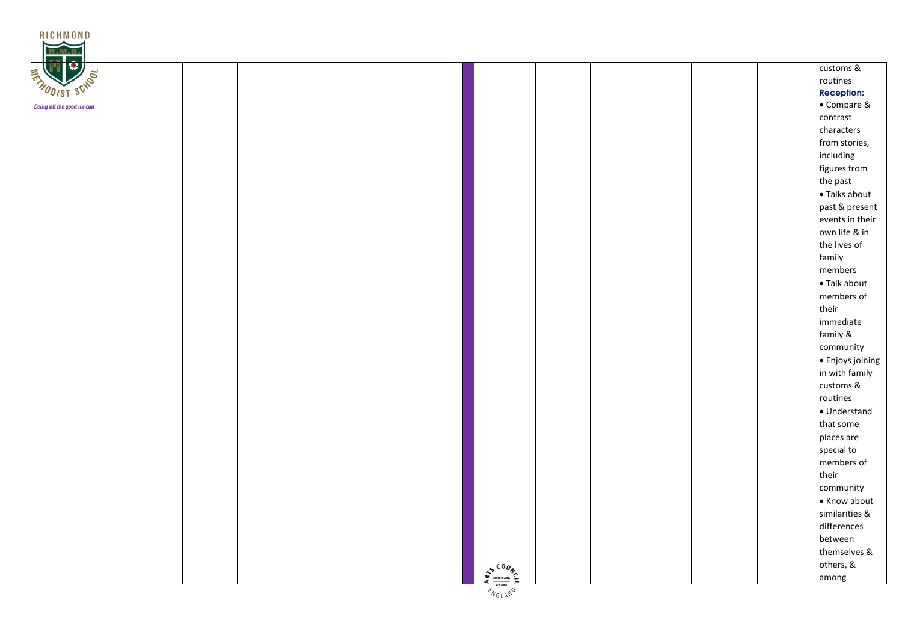| RICHMOND<br>R.M.S         |  |  |           |  |  |                   |
|---------------------------|--|--|-----------|--|--|-------------------|
| $\bullet$                 |  |  |           |  |  | customs &         |
| <b>ENTRODIST SCHOOL</b>   |  |  |           |  |  | routines          |
|                           |  |  |           |  |  | <b>Reception:</b> |
| Doing all the good we can |  |  |           |  |  | • Compare &       |
|                           |  |  |           |  |  | contrast          |
|                           |  |  |           |  |  | characters        |
|                           |  |  |           |  |  | from stories,     |
|                           |  |  |           |  |  | including         |
|                           |  |  |           |  |  | figures from      |
|                           |  |  |           |  |  | the past          |
|                           |  |  |           |  |  | • Talks about     |
|                           |  |  |           |  |  | past & present    |
|                           |  |  |           |  |  | events in their   |
|                           |  |  |           |  |  | own life & in     |
|                           |  |  |           |  |  | the lives of      |
|                           |  |  |           |  |  | family            |
|                           |  |  |           |  |  | members           |
|                           |  |  |           |  |  | • Talk about      |
|                           |  |  |           |  |  | members of        |
|                           |  |  |           |  |  | their             |
|                           |  |  |           |  |  | immediate         |
|                           |  |  |           |  |  | family &          |
|                           |  |  |           |  |  | community         |
|                           |  |  |           |  |  | · Enjoys joining  |
|                           |  |  |           |  |  | in with family    |
|                           |  |  |           |  |  | customs &         |
|                           |  |  |           |  |  | routines          |
|                           |  |  |           |  |  | · Understand      |
|                           |  |  |           |  |  | that some         |
|                           |  |  |           |  |  | places are        |
|                           |  |  |           |  |  | special to        |
|                           |  |  |           |  |  | members of        |
|                           |  |  |           |  |  | their             |
|                           |  |  |           |  |  | community         |
|                           |  |  |           |  |  | • Know about      |
|                           |  |  |           |  |  | similarities &    |
|                           |  |  |           |  |  | differences       |
|                           |  |  |           |  |  | between           |
|                           |  |  |           |  |  | themselves &      |
|                           |  |  | $4500\nV$ |  |  | others, &         |
|                           |  |  |           |  |  | among             |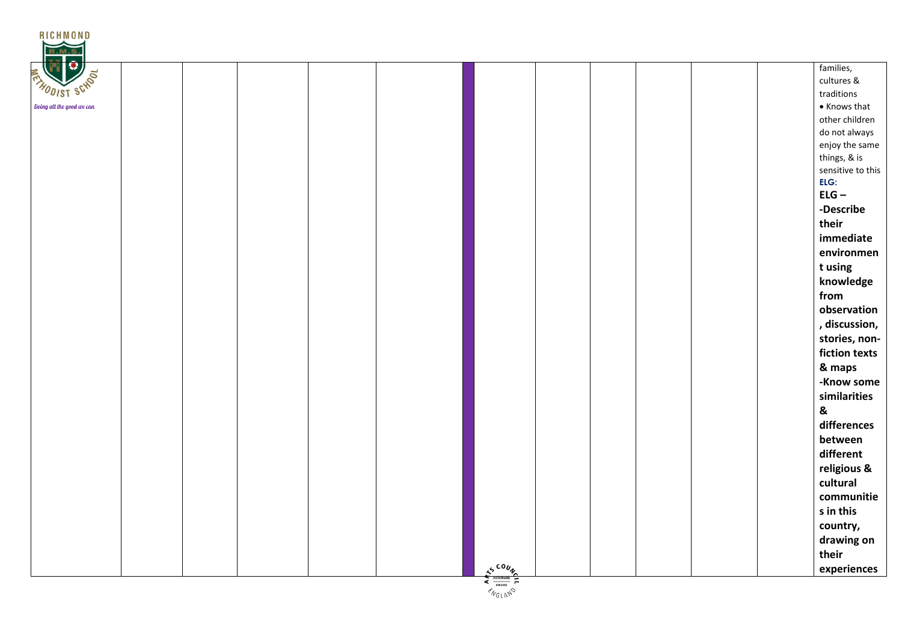| RICHMOND                  |                                                                                            |
|---------------------------|--------------------------------------------------------------------------------------------|
| <b>THODIST SCHOOL</b>     | families,<br>cultures &<br>traditions                                                      |
| Doing all the good we can | $\bullet$ Knows that                                                                       |
|                           | other children                                                                             |
|                           | do not always                                                                              |
|                           | enjoy the same<br>things, & is                                                             |
|                           | sensitive to this                                                                          |
|                           | ELG:                                                                                       |
|                           | $ELG -$                                                                                    |
|                           | -Describe                                                                                  |
|                           | their                                                                                      |
|                           | immediate                                                                                  |
|                           | environmen                                                                                 |
|                           | t using                                                                                    |
|                           | knowledge                                                                                  |
|                           | from                                                                                       |
|                           | observation                                                                                |
|                           | , discussion,                                                                              |
|                           | stories, non-                                                                              |
|                           | fiction texts                                                                              |
|                           | & maps                                                                                     |
|                           | -Know some                                                                                 |
|                           | similarities                                                                               |
|                           | &                                                                                          |
|                           | differences                                                                                |
|                           | between                                                                                    |
|                           | different                                                                                  |
|                           |                                                                                            |
|                           | religious &<br>cultural                                                                    |
|                           |                                                                                            |
|                           | communitie                                                                                 |
|                           | s in this                                                                                  |
|                           | country,                                                                                   |
|                           | drawing on                                                                                 |
|                           | their                                                                                      |
|                           | $\frac{1}{4}\frac{\sum_{\text{ABISMARE}}^{C_1}}{\sum_{\text{ANARD}}^{C_2}}$<br>experiences |

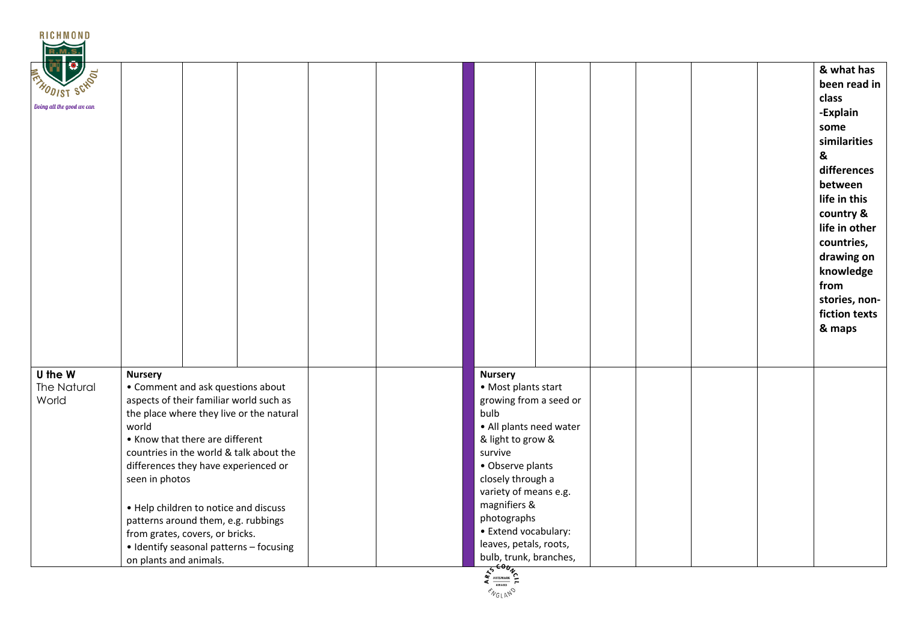| R.M.S                           |                                                                                                                                                                                                                                                                                                                                                                                                                                                                                     |                                                                                                                                                                                                                                                                                                                         |                                                                                                                                                                                                                                                   |
|---------------------------------|-------------------------------------------------------------------------------------------------------------------------------------------------------------------------------------------------------------------------------------------------------------------------------------------------------------------------------------------------------------------------------------------------------------------------------------------------------------------------------------|-------------------------------------------------------------------------------------------------------------------------------------------------------------------------------------------------------------------------------------------------------------------------------------------------------------------------|---------------------------------------------------------------------------------------------------------------------------------------------------------------------------------------------------------------------------------------------------|
| Doing all the good we can       |                                                                                                                                                                                                                                                                                                                                                                                                                                                                                     |                                                                                                                                                                                                                                                                                                                         | & what has<br>been read in<br>class<br>-Explain<br>some<br>similarities<br>&<br>differences<br>between<br>life in this<br>country &<br>life in other<br>countries,<br>drawing on<br>knowledge<br>from<br>stories, non-<br>fiction texts<br>& maps |
| U the W<br>The Natural<br>World | <b>Nursery</b><br>• Comment and ask questions about<br>aspects of their familiar world such as<br>the place where they live or the natural<br>world<br>• Know that there are different<br>countries in the world & talk about the<br>differences they have experienced or<br>seen in photos<br>• Help children to notice and discuss<br>patterns around them, e.g. rubbings<br>from grates, covers, or bricks.<br>• Identify seasonal patterns - focusing<br>on plants and animals. | <b>Nursery</b><br>• Most plants start<br>growing from a seed or<br>bulb<br>• All plants need water<br>& light to grow &<br>survive<br>• Observe plants<br>closely through a<br>variety of means e.g.<br>magnifiers &<br>photographs<br>• Extend vocabulary:<br>leaves, petals, roots,<br>bulb, trunk, branches,<br>600. |                                                                                                                                                                                                                                                   |

RICHMOND

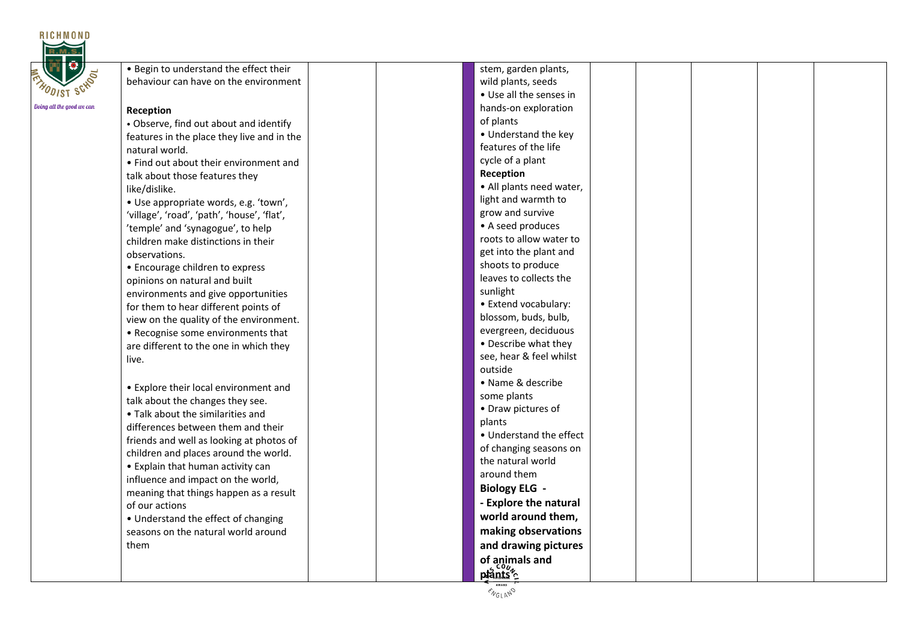

| . Begin to understand the effect their          | stem, garden plants,                  |  |
|-------------------------------------------------|---------------------------------------|--|
| behaviour can have on the environment           | wild plants, seeds                    |  |
|                                                 | • Use all the senses in               |  |
| Reception                                       | hands-on exploration                  |  |
| • Observe, find out about and identify          | of plants                             |  |
| features in the place they live and in the      | • Understand the key                  |  |
| natural world.                                  | features of the life                  |  |
| • Find out about their environment and          | cycle of a plant                      |  |
|                                                 | Reception                             |  |
| talk about those features they<br>like/dislike. | • All plants need water,              |  |
| · Use appropriate words, e.g. 'town',           | light and warmth to                   |  |
| 'village', 'road', 'path', 'house', 'flat',     | grow and survive                      |  |
| 'temple' and 'synagogue', to help               | • A seed produces                     |  |
| children make distinctions in their             | roots to allow water to               |  |
| observations.                                   | get into the plant and                |  |
| • Encourage children to express                 | shoots to produce                     |  |
| opinions on natural and built                   | leaves to collects the                |  |
| environments and give opportunities             | sunlight                              |  |
| for them to hear different points of            | • Extend vocabulary:                  |  |
| view on the quality of the environment.         | blossom, buds, bulb,                  |  |
| • Recognise some environments that              | evergreen, deciduous                  |  |
| are different to the one in which they          | • Describe what they                  |  |
| live.                                           | see, hear & feel whilst               |  |
|                                                 | outside                               |  |
| • Explore their local environment and           | • Name & describe                     |  |
| talk about the changes they see.                | some plants                           |  |
| • Talk about the similarities and               | • Draw pictures of                    |  |
| differences between them and their              | plants                                |  |
| friends and well as looking at photos of        | • Understand the effect               |  |
| children and places around the world.           | of changing seasons on                |  |
| • Explain that human activity can               | the natural world                     |  |
| influence and impact on the world,              | around them                           |  |
| meaning that things happen as a result          | <b>Biology ELG -</b>                  |  |
| of our actions                                  | - Explore the natural                 |  |
| • Understand the effect of changing             | world around them,                    |  |
| seasons on the natural world around             | making observations                   |  |
| them                                            | and drawing pictures                  |  |
|                                                 |                                       |  |
|                                                 | of animals and<br>plants <sup>2</sup> |  |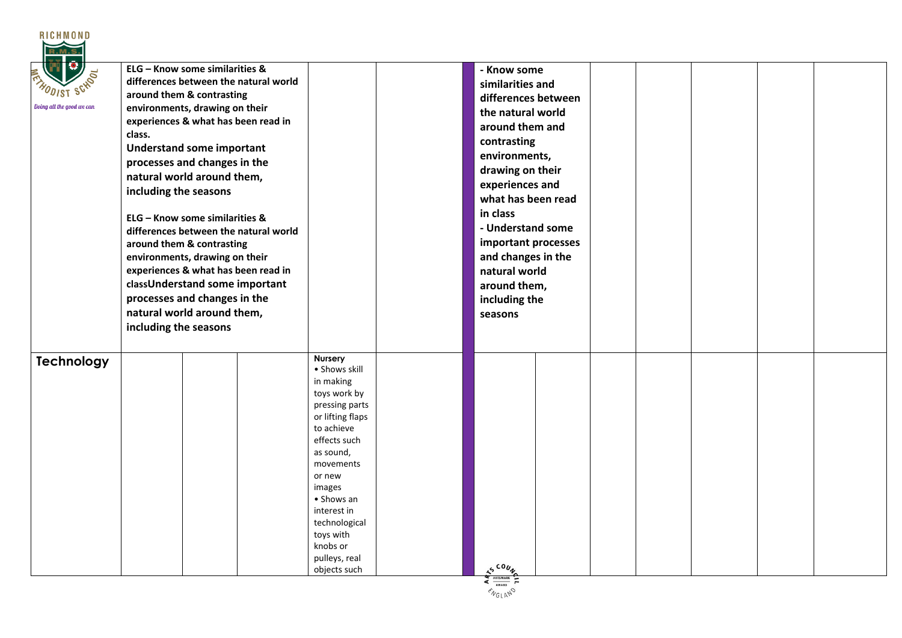| <b>RICHMOND</b>           |                                                                                                                                                                                                                                                                                                                                                                                                                                                                                                                                                                                                                              |                                                                                                                                                                                                                                                                                        |                                                                                                                                                                                                                                                                                                                                        |  |
|---------------------------|------------------------------------------------------------------------------------------------------------------------------------------------------------------------------------------------------------------------------------------------------------------------------------------------------------------------------------------------------------------------------------------------------------------------------------------------------------------------------------------------------------------------------------------------------------------------------------------------------------------------------|----------------------------------------------------------------------------------------------------------------------------------------------------------------------------------------------------------------------------------------------------------------------------------------|----------------------------------------------------------------------------------------------------------------------------------------------------------------------------------------------------------------------------------------------------------------------------------------------------------------------------------------|--|
| Doing all the good we can | ELG - Know some similarities &<br>differences between the natural world<br>around them & contrasting<br>environments, drawing on their<br>experiences & what has been read in<br>class.<br><b>Understand some important</b><br>processes and changes in the<br>natural world around them,<br>including the seasons<br>ELG - Know some similarities &<br>differences between the natural world<br>around them & contrasting<br>environments, drawing on their<br>experiences & what has been read in<br>classUnderstand some important<br>processes and changes in the<br>natural world around them,<br>including the seasons |                                                                                                                                                                                                                                                                                        | - Know some<br>similarities and<br>differences between<br>the natural world<br>around them and<br>contrasting<br>environments,<br>drawing on their<br>experiences and<br>what has been read<br>in class<br>- Understand some<br>important processes<br>and changes in the<br>natural world<br>around them,<br>including the<br>seasons |  |
| <b>Technology</b>         |                                                                                                                                                                                                                                                                                                                                                                                                                                                                                                                                                                                                                              | <b>Nursery</b><br>• Shows skill<br>in making<br>toys work by<br>pressing parts<br>or lifting flaps<br>to achieve<br>effects such<br>as sound,<br>movements<br>or new<br>images<br>• Shows an<br>interest in<br>technological<br>toys with<br>knobs or<br>pulleys, real<br>objects such | 500y                                                                                                                                                                                                                                                                                                                                   |  |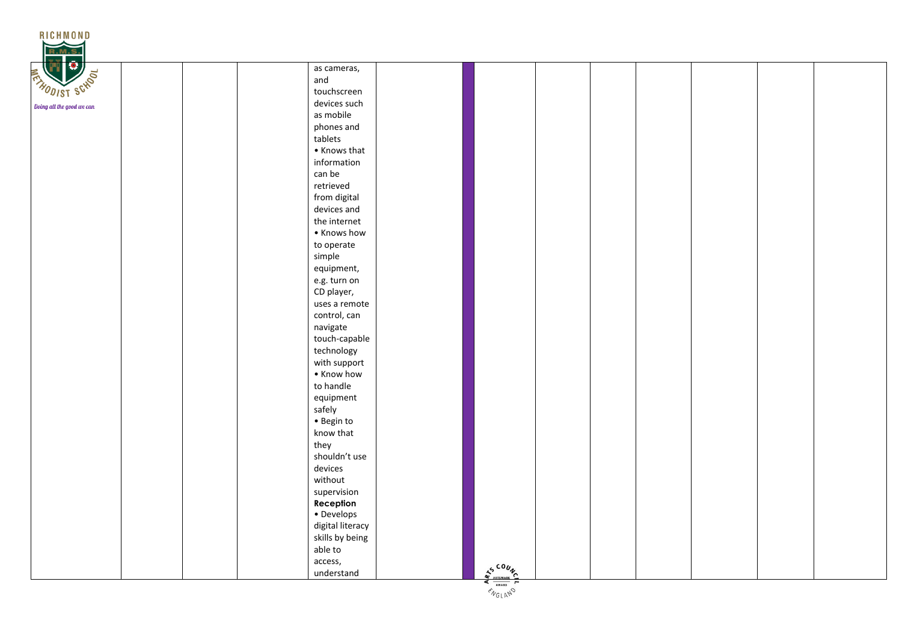

 $\frac{Z_{\frac{\text{AVARD}}{\text{AVARD}}}}{\frac{Z_{\text{AVARD}}}{\text{AVQ} \cup N_{\text{V}}}}$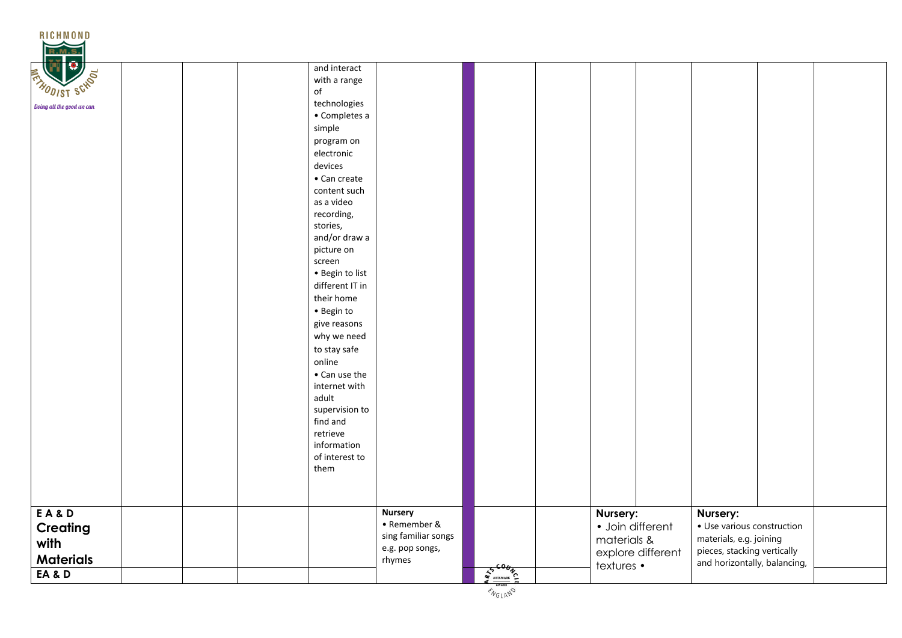| <b>RICHMOND</b><br>R.M                               |  |                                                                                                                                            |                                                                                    |                                                                        |                                                           |                   |                                                                                                                                  |  |
|------------------------------------------------------|--|--------------------------------------------------------------------------------------------------------------------------------------------|------------------------------------------------------------------------------------|------------------------------------------------------------------------|-----------------------------------------------------------|-------------------|----------------------------------------------------------------------------------------------------------------------------------|--|
| e<br>THODIST SCHOOL<br>Doing all the good we can     |  | and interact<br>with a range<br>$\mathsf{of}$<br>technologies<br>• Completes a<br>simple                                                   |                                                                                    |                                                                        |                                                           |                   |                                                                                                                                  |  |
|                                                      |  | program on<br>electronic<br>devices<br>• Can create<br>content such<br>as a video<br>recording,<br>stories,<br>and/or draw a<br>picture on |                                                                                    |                                                                        |                                                           |                   |                                                                                                                                  |  |
|                                                      |  | screen<br>• Begin to list<br>different IT in<br>their home<br>· Begin to<br>give reasons<br>why we need<br>to stay safe<br>online          |                                                                                    |                                                                        |                                                           |                   |                                                                                                                                  |  |
|                                                      |  | • Can use the<br>internet with<br>adult<br>supervision to<br>find and<br>retrieve<br>information<br>of interest to<br>them                 |                                                                                    |                                                                        |                                                           |                   |                                                                                                                                  |  |
| EA&D<br>Creating<br>with<br><b>Materials</b><br>EA&D |  |                                                                                                                                            | <b>Nursery</b><br>• Remember &<br>sing familiar songs<br>e.g. pop songs,<br>rhymes | $\frac{1}{4}\frac{1}{4}\frac{1}{4}\left(\frac{1}{4}\frac{1}{4}\right)$ | Nursery:<br>· Join different<br>materials &<br>textures • | explore different | Nursery:<br>· Use various construction<br>materials, e.g. joining<br>pieces, stacking vertically<br>and horizontally, balancing, |  |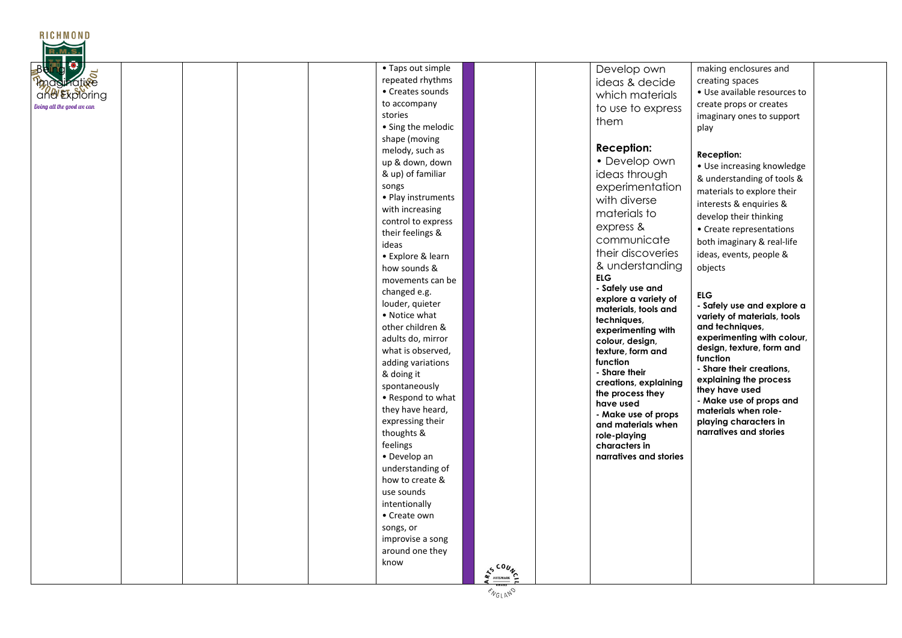| <b>RICHMOND</b><br>Protive<br>and Exploring<br>Doing all the good we can | • Taps out simple<br>repeated rhythms<br>• Creates sounds<br>to accompany<br>stories<br>• Sing the melodic<br>shape (moving<br>melody, such as<br>up & down, down<br>& up) of familiar<br>songs<br>• Play instruments<br>with increasing<br>control to express<br>their feelings &<br>ideas<br>• Explore & learn<br>how sounds &<br>movements can be<br>changed e.g.<br>louder, quieter<br>• Notice what<br>other children &<br>adults do, mirror<br>what is observed,<br>adding variations<br>& doing it<br>spontaneously<br>• Respond to what<br>they have heard,<br>expressing their<br>thoughts &<br>feelings<br>• Develop an |                              | Develop own<br>ideas & decide<br>which materials<br>to use to express<br>them<br><b>Reception:</b><br>• Develop own<br>ideas through<br>experimentation<br>with diverse<br>materials to<br>express &<br>communicate<br>their discoveries<br>& understanding<br><b>ELG</b><br>- Safely use and<br>explore a variety of<br>materials, tools and<br>techniques,<br>experimenting with<br>colour, design,<br>texture, form and<br>function<br>- Share their<br>creations, explaining<br>the process they<br>have used<br>- Make use of props<br>and materials when<br>role-playing<br>characters in<br>narratives and stories | making enclosures and<br>creating spaces<br>• Use available resources to<br>create props or creates<br>imaginary ones to support<br>play<br>Reception:<br>• Use increasing knowledge<br>& understanding of tools &<br>materials to explore their<br>interests & enquiries &<br>develop their thinking<br>• Create representations<br>both imaginary & real-life<br>ideas, events, people &<br>objects<br><b>ELG</b><br>- Safely use and explore a<br>variety of materials, tools<br>and techniques,<br>experimenting with colour,<br>design, texture, form and<br>function<br>- Share their creations,<br>explaining the process<br>they have used<br>- Make use of props and<br>materials when role-<br>playing characters in<br>narratives and stories |
|--------------------------------------------------------------------------|-----------------------------------------------------------------------------------------------------------------------------------------------------------------------------------------------------------------------------------------------------------------------------------------------------------------------------------------------------------------------------------------------------------------------------------------------------------------------------------------------------------------------------------------------------------------------------------------------------------------------------------|------------------------------|---------------------------------------------------------------------------------------------------------------------------------------------------------------------------------------------------------------------------------------------------------------------------------------------------------------------------------------------------------------------------------------------------------------------------------------------------------------------------------------------------------------------------------------------------------------------------------------------------------------------------|----------------------------------------------------------------------------------------------------------------------------------------------------------------------------------------------------------------------------------------------------------------------------------------------------------------------------------------------------------------------------------------------------------------------------------------------------------------------------------------------------------------------------------------------------------------------------------------------------------------------------------------------------------------------------------------------------------------------------------------------------------|
|                                                                          | understanding of<br>how to create &<br>use sounds<br>intentionally<br>• Create own<br>songs, or<br>improvise a song<br>around one they<br>know                                                                                                                                                                                                                                                                                                                                                                                                                                                                                    | $s^{cou}$<br><b>ARTSMARK</b> |                                                                                                                                                                                                                                                                                                                                                                                                                                                                                                                                                                                                                           |                                                                                                                                                                                                                                                                                                                                                                                                                                                                                                                                                                                                                                                                                                                                                          |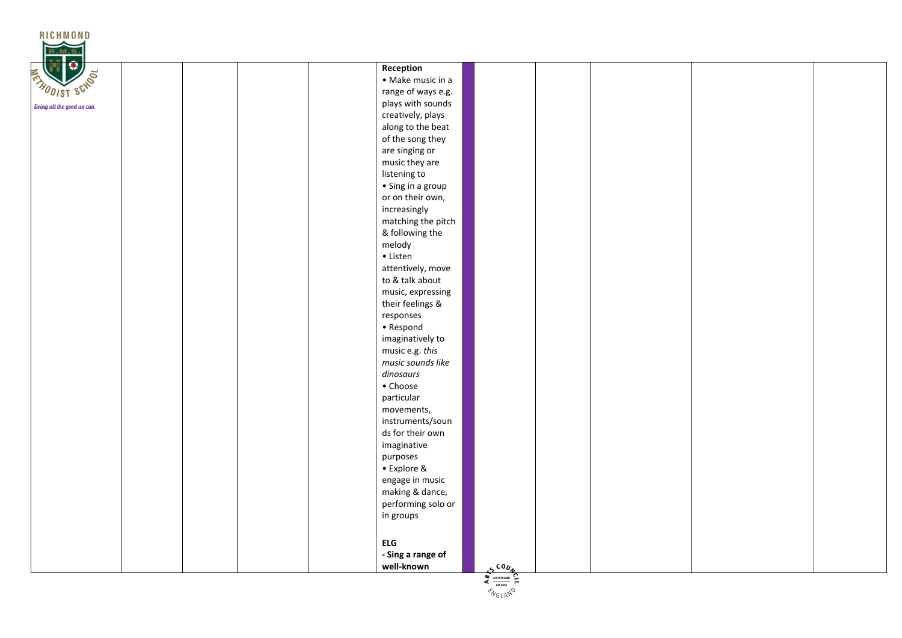| <b>RICHMOND</b>           |                                        |
|---------------------------|----------------------------------------|
| <b>R.M.S</b><br>ō         |                                        |
| <b>THODIST SCHOOL</b>     | Reception                              |
|                           | • Make music in a                      |
|                           | range of ways e.g.                     |
| Doing all the good we can | plays with sounds<br>creatively, plays |
|                           | along to the beat                      |
|                           | of the song they                       |
|                           | are singing or                         |
|                           | music they are                         |
|                           | listening to                           |
|                           | $\bullet$ Sing in a group              |
|                           | or on their own,                       |
|                           | increasingly                           |
|                           | matching the pitch                     |
|                           | & following the                        |
|                           | melody                                 |
|                           | $\bullet$ Listen                       |
|                           | attentively, move                      |
|                           | to & talk about                        |
|                           | music, expressing                      |
|                           | their feelings &                       |
|                           | responses                              |
|                           | • Respond                              |
|                           | imaginatively to<br>music e.g. this    |
|                           | music sounds like                      |
|                           | dinosaurs                              |
|                           | • Choose                               |
|                           | particular                             |
|                           | movements,                             |
|                           | instruments/soun                       |
|                           | ds for their own                       |
|                           | imaginative                            |
|                           | purposes                               |
|                           | • Explore &                            |
|                           | engage in music                        |
|                           | making & dance,                        |
|                           | performing solo or                     |
|                           | in groups                              |
|                           |                                        |
|                           | <b>ELG</b>                             |
|                           | - Sing a range of                      |
|                           | well-known<br>$5600\nX$                |